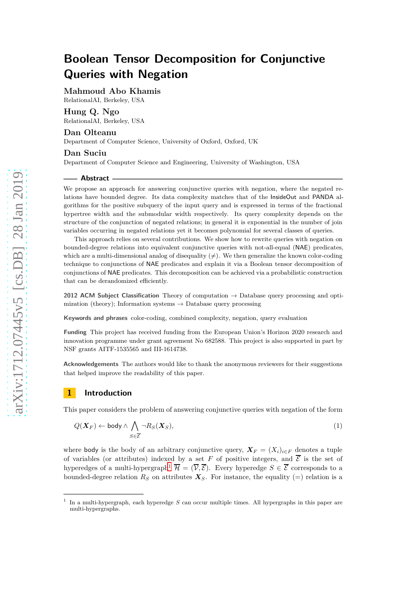**Mahmoud Abo Khamis** RelationalAI, Berkeley, USA

### **Hung Q. Ngo**

RelationalAI, Berkeley, USA

# **Dan Olteanu**

Department of Computer Science, University of Oxford, Oxford, UK

#### **Dan Suciu**

Department of Computer Science and Engineering, University of Washington, USA

#### **Abstract**

We propose an approach for answering conjunctive queries with negation, where the negated relations have bounded degree. Its data complexity matches that of the InsideOut and PANDA algorithms for the positive subquery of the input query and is expressed in terms of the fractional hypertree width and the submodular width respectively. Its query complexity depends on the structure of the conjunction of negated relations; in general it is exponential in the number of join variables occurring in negated relations yet it becomes polynomial for several classes of queries.

This approach relies on several contributions. We show how to rewrite queries with negation on bounded-degree relations into equivalent conjunctive queries with not-all-equal (NAE) predicates, which are a multi-dimensional analog of disequality  $(\neq)$ . We then generalize the known color-coding technique to conjunctions of NAE predicates and explain it via a Boolean tensor decomposition of conjunctions of NAE predicates. This decomposition can be achieved via a probabilistic construction that can be derandomized efficiently.

**2012 ACM Subject Classification** Theory of computation → Database query processing and optimization (theory); Information systems  $\rightarrow$  Database query processing

**Keywords and phrases** color-coding, combined complexity, negation, query evaluation

**Funding** This project has received funding from the European Union's Horizon 2020 research and innovation programme under grant agreement No 682588. This project is also supported in part by NSF grants AITF-1535565 and III-1614738.

**Acknowledgements** The authors would like to thank the anonymous reviewers for their suggestions that helped improve the readability of this paper.

# <span id="page-0-2"></span>**1 Introduction**

This paper considers the problem of answering conjunctive queries with negation of the form

<span id="page-0-1"></span>
$$
Q(\boldsymbol{X}_F) \leftarrow \text{body} \wedge \bigwedge_{S \in \overline{\mathcal{E}}} \neg R_S(\boldsymbol{X}_S),\tag{1}
$$

where body is the body of an arbitrary conjunctive query,  $\mathbf{X}_F = (X_i)_{i \in F}$  denotes a tuple of variables (or attributes) indexed by a set F of positive integers, and  $\overline{\mathcal{E}}$  is the set of hyperedges of a multi-hypergraph<sup>[1](#page-0-0)</sup>  $\overline{\mathcal{H}} = (\overline{\mathcal{V}}, \overline{\mathcal{E}})$ . Every hyperedge  $S \in \overline{\mathcal{E}}$  corresponds to a bounded-degree relation  $R_S$  on attributes  $X_S$ . For instance, the equality (=) relation is a

<span id="page-0-0"></span><sup>1</sup> In a multi-hypergraph, each hyperedge *S* can occur multiple times. All hypergraphs in this paper are multi-hypergraphs.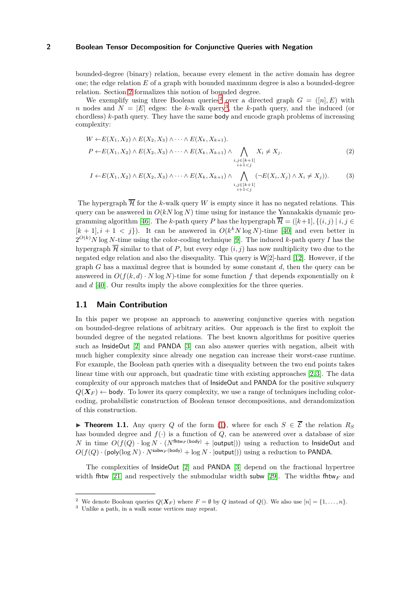bounded-degree (binary) relation, because every element in the active domain has degree one; the edge relation *E* of a graph with bounded maximum degree is also a bounded-degree relation. Section [2](#page-3-0) formalizes this notion of bounded degree.

We exemplify using three Boolean queries<sup>[2](#page-1-0)</sup> over a directed graph  $G = ([n], E)$  with *n* nodes and  $N = |E|$  edges: the *k*-walk query<sup>[3](#page-1-1)</sup>, the *k*-path query, and the induced (or chordless) *k*-path query. They have the same body and encode graph problems of increasing complexity:

$$
W \leftarrow E(X_1, X_2) \land E(X_2, X_3) \land \cdots \land E(X_k, X_{k+1}).
$$
  
\n
$$
P \leftarrow E(X_1, X_2) \land E(X_2, X_3) \land \cdots \land E(X_k, X_{k+1}) \land \bigwedge_{\substack{i,j \in [k+1] \\ i+1 < j}} X_i \neq X_j.
$$
\n
$$
(2)
$$

<span id="page-1-4"></span><span id="page-1-3"></span>
$$
I \leftarrow E(X_1, X_2) \land E(X_2, X_3) \land \cdots \land E(X_k, X_{k+1}) \land \bigwedge_{\substack{i,j \in [k+1] \\ i+1 < j}} (\neg E(X_i, X_j) \land X_i \neq X_j)).\tag{3}
$$

The hypergraph  $\overline{\mathcal{H}}$  for the *k*-walk query *W* is empty since it has no negated relations. This query can be answered in  $O(kN \log N)$  time using for instance the Yannakakis dynamic pro-gramming algorithm [\[46\]](#page-18-0). The *k*-path query *P* has the hypergraph  $\overline{\mathcal{H}} = ([k+1], \{(i, j) | i, j \in$  $[k+1], i+1 < j$ ). It can be answered in  $O(k^k N \log N)$ -time [\[40\]](#page-18-1) and even better in  $2^{O(k)}N$  log *N*-time using the color-coding technique [9]. The induced *k*-path query *I* has the hypergraph  $\overline{\mathcal{H}}$  similar to that of *P*, but every edge  $(i, j)$  has now multiplicity two due to the negated edge relation and also the disequality. This query is W[2]-hard [12]. However, if the graph *G* has a maximal degree that is bounded by some constant *d*, then the query can be answered in  $O(f(k, d) \cdot N \log N)$ -time for some function f that depends exponentially on k and *d* [\[40\]](#page-18-1). Our results imply the above complexities for the three queries.

#### **1.1 Main Contribution**

In this paper we propose an approach to answering conjunctive queries with negation on bounded-degree relations of arbitrary arities. Our approach is the first to exploit the bounded degree of the negated relations. The best known algorithms for positive queries such as InsideOut [\[2\]](#page-17-0) and PANDA [\[3\]](#page-17-1) can also answer queries with negation, albeit with much higher complexity since already one negation can increase their worst-case runtime. For example, the Boolean path queries with a disequality between the two end points takes linear time with our approach, but quadratic time with existing approaches [\[2,](#page-17-0) [3\]](#page-17-1). The data complexity of our approach matches that of InsideOut and PANDA for the positive subquery  $Q(X_F)$  ← body. To lower its query complexity, we use a range of techniques including colorcoding, probabilistic construction of Boolean tensor decompositions, and derandomization of this construction.

<span id="page-1-2"></span>**► Theorem 1.1.** Any query *Q* of the form [\(1\)](#page-0-1), where for each  $S \in \overline{\mathcal{E}}$  the relation  $R_S$ has bounded degree and  $f(.)$  is a function of  $Q$ , can be answered over a database of size *N* in time  $O(f(Q) \cdot \log N \cdot (N^{\text{fhtw}_F(\text{body})} + |\text{output}|)$  using a reduction to InsideOut and  $O(f(Q) \cdot (\text{poly}(\log N) \cdot N^{\text{subW}_F(\text{body})} + \log N \cdot |\text{output}|))$  using a reduction to PANDA.

The complexities of InsideOut [\[2\]](#page-17-0) and PANDA [\[3\]](#page-17-1) depend on the fractional hypertree width fhtw [21] and respectively the submodular width subw [\[29\]](#page-18-2). The widths fhtw<sub>F</sub> and

<sup>&</sup>lt;sup>2</sup> We denote Boolean queries  $Q(\boldsymbol{X}_F)$  where  $F = \emptyset$  by *Q* instead of *Q*(). We also use  $[n] = \{1, \ldots, n\}.$ 

<span id="page-1-1"></span><span id="page-1-0"></span><sup>3</sup> Unlike a path, in a walk some vertices may repeat.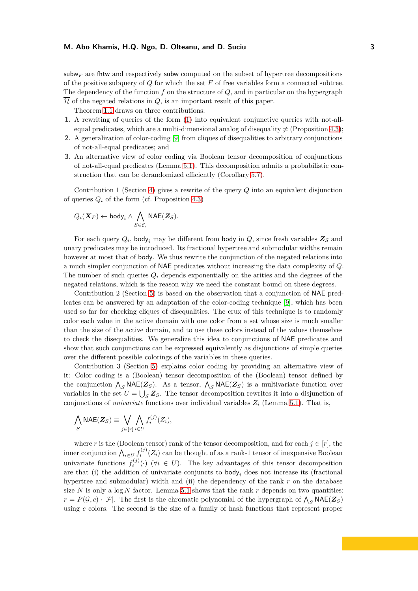subw<sub>F</sub> are fit and respectively subw computed on the subset of hypertree decompositions of the positive subquery of *Q* for which the set *F* of free variables form a connected subtree. The dependency of the function *f* on the structure of *Q*, and in particular on the hypergraph  $\overline{\mathcal{H}}$  of the negated relations in  $Q$ , is an important result of this paper.

Theorem [1.1](#page-1-2) draws on three contributions:

- **1.** A rewriting of queries of the form [\(1\)](#page-0-1) into equivalent conjunctive queries with not-allequal predicates, which are a multi-dimensional analog of disequality  $\neq$  (Proposition [4.3\)](#page-9-0);
- **2.** A generalization of color-coding [9] from cliques of disequalities to arbitrary conjunctions of not-all-equal predicates; and
- **3.** An alternative view of color coding via Boolean tensor decomposition of conjunctions of not-all-equal predicates (Lemma [5.1\)](#page-10-0). This decomposition admits a probabilistic construction that can be derandomized efficiently (Corollary [5.7\)](#page-12-0).

Contribution 1 (Section [4\)](#page-8-0) gives a rewrite of the query *Q* into an equivalent disjunction of queries  $Q_i$  of the form (cf. Proposition [4.3\)](#page-9-0)

$$
Q_i(\boldsymbol{X}_F) \leftarrow \textsf{body}_i \land \bigwedge_{S \in \mathcal{E}_i} \textsf{NAE}(\boldsymbol{Z}_S).
$$

For each query  $Q_i$ , body<sub>*i*</sub> may be different from body in  $Q$ , since fresh variables  $\mathbf{Z}_S$  and unary predicates may be introduced. Its fractional hypertree and submodular widths remain however at most that of body. We thus rewrite the conjunction of the negated relations into a much simpler conjunction of NAE predicates without increasing the data complexity of *Q*. The number of such queries  $Q_i$  depends exponentially on the arities and the degrees of the negated relations, which is the reason why we need the constant bound on these degrees.

Contribution 2 (Section [5\)](#page-10-1) is based on the observation that a conjunction of NAE predicates can be answered by an adaptation of the color-coding technique [9], which has been used so far for checking cliques of disequalities. The crux of this technique is to randomly color each value in the active domain with one color from a set whose size is much smaller than the size of the active domain, and to use these colors instead of the values themselves to check the disequalities. We generalize this idea to conjunctions of NAE predicates and show that such conjunctions can be expressed equivalently as disjunctions of simple queries over the different possible colorings of the variables in these queries.

Contribution 3 (Section [5\)](#page-10-1) explains color coding by providing an alternative view of it: Color coding is a (Boolean) tensor decomposition of the (Boolean) tensor defined by the conjunction  $\bigwedge_S \text{NAE}(Z_S)$ . As a tensor,  $\bigwedge_S \text{NAE}(Z_S)$  is a multivariate function over variables in the set  $U = \bigcup_{S} Z_{S}$ . The tensor decomposition rewrites it into a disjunction of conjunctions of *univariate* functions over individual variables  $Z_i$  (Lemma [5.1\)](#page-10-2). That is,

$$
\bigwedge_{S} \mathsf{NAE}(\mathbf{Z}_{S}) \equiv \bigvee_{j \in [r]} \bigwedge_{i \in U} f_{i}^{(j)}(Z_{i}),
$$

where *r* is the (Boolean tensor) rank of the tensor decomposition, and for each  $j \in [r]$ , the inner conjunction  $\bigwedge_{i \in U} f_i^{(j)}(Z_i)$  can be thought of as a rank-1 tensor of inexpensive Boolean univariate functions  $f_i^{(j)}$  $i^{(J)}(.)$  ( $\forall i \in U$ ). The key advantages of this tensor decomposition are that (i) the addition of univariate conjuncts to body*<sup>i</sup>* does not increase its (fractional hypertree and submodular) width and (ii) the dependency of the rank r on the database size  $N$  is only a log  $N$  factor. Lemma [5.1](#page-10-2) shows that the rank  $r$  depends on two quantities:  $r = P(\mathcal{G}, c) \cdot |\mathcal{F}|$ . The first is the chromatic polynomial of the hypergraph of  $\bigwedge_S \mathsf{NAE}(\mathbf{Z}_S)$ using *c* colors. The second is the size of a family of hash functions that represent proper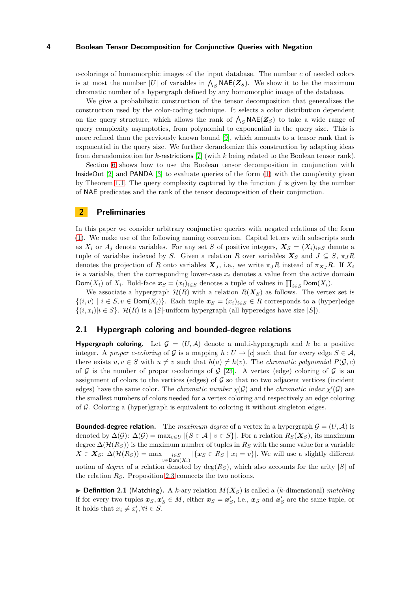*c*-colorings of homomorphic images of the input database. The number *c* of needed colors is at most the number |*U*| of variables in  $\Lambda_S$  **NAE(***Z*<sub>*S*</sub>). We show it to be the maximum chromatic number of a hypergraph defined by any homomorphic image of the database.

We give a probabilistic construction of the tensor decomposition that generalizes the construction used by the color-coding technique. It selects a color distribution dependent on the query structure, which allows the rank of  $\bigwedge_S \mathsf{NAE}(\mathbf{Z}_S)$  to take a wide range of query complexity asymptotics, from polynomial to exponential in the query size. This is more refined than the previously known bound [9], which amounts to a tensor rank that is exponential in the query size. We further derandomize this construction by adapting ideas from derandomization for *k*-restrictions [7] (with *k* being related to the Boolean tensor rank).

Section [6](#page-13-0) shows how to use the Boolean tensor decomposition in conjunction with InsideOut [\[2\]](#page-17-0) and PANDA [\[3\]](#page-17-1) to evaluate queries of the form [\(1\)](#page-0-1) with the complexity given by Theorem [1.1.](#page-1-2) The query complexity captured by the function *f* is given by the number of NAE predicates and the rank of the tensor decomposition of their conjunction.

# <span id="page-3-0"></span>**2 Preliminaries**

In this paper we consider arbitrary conjunctive queries with negated relations of the form [\(1\)](#page-0-1). We make use of the following naming convention. Capital letters with subscripts such as  $X_i$  or  $A_j$  denote variables. For any set *S* of positive integers,  $X_S = (X_i)_{i \in S}$  denote a tuple of variables indexed by *S*. Given a relation *R* over variables  $X_S$  and  $J \subseteq S$ ,  $\pi_J R$ denotes the projection of *R* onto variables  $\mathbf{X}_J$ , i.e., we write  $\pi_J R$  instead of  $\pi_{\mathbf{X}_J} R$ . If  $X_i$ is a variable, then the corresponding lower-case  $x_i$  denotes a value from the active domain Dom(*X<sub>i</sub>*) of *X<sub>i</sub>*. Bold-face  $x_S = (x_i)_{i \in S}$  denotes a tuple of values in  $\prod_{i \in S} \text{Dom}(X_i)$ .

We associate a hypergraph  $\mathcal{H}(R)$  with a relation  $R(X_S)$  as follows. The vertex set is  $\{(i, v) \mid i \in S, v \in \text{Dom}(X_i)\}\.$  Each tuple  $\mathbf{x}_S = (x_i)_{i \in S} \in R$  corresponds to a (hyper)edge  $\{(i, x_i)|i \in S\}$ .  $\mathcal{H}(R)$  is a |*S*|-uniform hypergraph (all hyperedges have size |*S*|).

#### **2.1 Hypergraph coloring and bounded-degree relations**

**Hypergraph coloring.** Let  $\mathcal{G} = (U, \mathcal{A})$  denote a multi-hypergraph and k be a positive integer. A *proper c*-coloring of G is a mapping  $h: U \to [c]$  such that for every edge  $S \in \mathcal{A}$ , there exists  $u, v \in S$  with  $u \neq v$  such that  $h(u) \neq h(v)$ . The *chromatic polynomial*  $P(\mathcal{G}, c)$ of G is the number of proper *c*-colorings of G [\[23\]](#page-18-3). A vertex (edge) coloring of G is an assignment of colors to the vertices (edges) of  $\mathcal G$  so that no two adjacent vertices (incident edges) have the same color. The *chromatic number*  $\chi(\mathcal{G})$  and the *chromatic index*  $\chi'(\mathcal{G})$  are the smallest numbers of colors needed for a vertex coloring and respectively an edge coloring of  $\mathcal G$ . Coloring a (hyper)graph is equivalent to coloring it without singleton edges.

**Bounded-degree relation.** The maximum degree of a vertex in a hypergraph  $\mathcal{G} = (U, \mathcal{A})$  is denoted by  $\Delta(\mathcal{G})$ :  $\Delta(\mathcal{G}) = \max_{v \in U} |\{S \in \mathcal{A} \mid v \in S\}|$ . For a relation  $R_S(\mathbf{X}_S)$ , its maximum degree  $\Delta(\mathcal{H}(R_S))$  is the maximum number of tuples in  $R_S$  with the same value for a variable  $X \in \mathbf{X}_S$ :  $\Delta(\mathcal{H}(R_S)) = \max_{v \in \text{Dom}(X_i)} |\{x_S \in R_S \mid x_i = v\}|$ . We will use a slightly different notion of *degree* of a relation denoted by  $deg(R_S)$ , which also accounts for the arity |*S*| of the relation *RS*. Proposition [2.3](#page-4-0) connects the two notions.

 $\triangleright$  **Definition 2.1** (Matching). A *k*-ary relation  $M(X_S)$  is called a (*k*-dimensional) *matching* if for every two tuples  $x_S, x'_S \in M$ , either  $x_S = x'_S$ , i.e.,  $x_S$  and  $x'_S$  are the same tuple, or it holds that  $x_i \neq x'_i, \forall i \in S$ .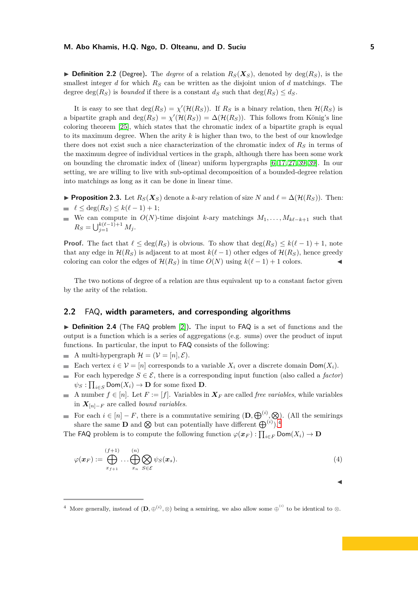$\triangleright$  **Definition 2.2** (Degree). The *degree* of a relation  $R_S(\mathbf{X}_S)$ , denoted by deg( $R_S$ ), is the smallest integer *d* for which *R<sup>S</sup>* can be written as the disjoint union of *d* matchings. The degree  $deg(R_S)$  is *bounded* if there is a constant  $d_S$  such that  $deg(R_S) \leq d_S$ .

It is easy to see that  $deg(R_S) = \chi'(\mathcal{H}(R_S))$ . If  $R_S$  is a binary relation, then  $\mathcal{H}(R_S)$  is a bipartite graph and  $deg(R_S) = \chi'(\mathcal{H}(R_S)) = \Delta(\mathcal{H}(R_S))$ . This follows from König's line coloring theorem [\[25\]](#page-18-4), which states that the chromatic index of a bipartite graph is equal to its maximum degree. When the arity *k* is higher than two, to the best of our knowledge there does not exist such a nice characterization of the chromatic index of *R<sup>S</sup>* in terms of the maximum degree of individual vertices in the graph, although there has been some work on bounding the chromatic index of (linear) uniform hypergraphs [\[6,](#page-17-2) [17,](#page-17-3) [27,](#page-18-5) [39, 39\]](#page-18-6). In our setting, we are willing to live with sub-optimal decomposition of a bounded-degree relation into matchings as long as it can be done in linear time.

<span id="page-4-0"></span>► **Proposition 2.3.** Let  $R_S(X_S)$  denote a *k*-ary relation of size *N* and  $\ell = \Delta(\mathcal{H}(R_S))$ . Then:  $\ell \leq \deg(R_S) \leq k(\ell-1)+1;$ 

We can compute in  $O(N)$ -time disjoint *k*-ary matchings  $M_1, \ldots, M_{k\ell-k+1}$  such that  $R_S = \bigcup_{j=1}^{k(\ell-1)+1} M_j.$ 

**Proof.** The fact that  $\ell \leq \deg(R_S)$  is obvious. To show that  $\deg(R_S) \leq k(\ell-1)+1$ , note that any edge in  $\mathcal{H}(R_S)$  is adjacent to at most  $k(\ell-1)$  other edges of  $\mathcal{H}(R_S)$ , hence greedy coloring can color the edges of  $\mathcal{H}(R_S)$  in time  $O(N)$  using  $k(\ell-1)+1$  colors.

The two notions of degree of a relation are thus equivalent up to a constant factor given by the arity of the relation.

#### <span id="page-4-2"></span>**2.2** FAQ**, width parameters, and corresponding algorithms**

▶ **Definition 2.4** (The FAQ problem [\[2\]](#page-17-0)). The input to FAQ is a set of functions and the output is a function which is a series of aggregations (e.g. sums) over the product of input functions. In particular, the input to FAQ consists of the following:

- A multi-hypergraph  $\mathcal{H} = (\mathcal{V} = [n], \mathcal{E})$ .
- Each vertex  $i \in \mathcal{V} = [n]$  corresponds to a variable  $X_i$  over a discrete domain  $\text{Dom}(X_i)$ .
- For each hyperedge  $S \in \mathcal{E}$ , there is a corresponding input function (also called a *factor*)  $\psi_S: \prod_{i \in S} \textsf{Dom}(X_i) \to \mathbf{D}$  for some fixed  $\mathbf{D}$ .
- A number  $f \in [n]$ . Let  $F := [f]$ . Variables in  $\mathbf{X}_F$  are called *free variables*, while variables  $\blacksquare$ in *X*[*n*]−*<sup>F</sup>* are called *bound variables*.
- For each  $i \in [n] F$ , there is a commutative semiring  $(D, \bigoplus_{i \in \mathbb{N}}^{(i)}, \bigotimes)$ . (All the semirings share the same **D** and  $\otimes$  but can potentially have different  $\bigoplus^{(i)}$ .<sup>[4](#page-4-1)</sup>

The FAQ problem is to compute the following function  $\varphi(\boldsymbol{x}_F) : \prod_{i \in F} \textsf{Dom}(X_i) \to \mathbf{D}$ 

$$
\varphi(\boldsymbol{x}_F) := \bigoplus_{x_{f+1}}^{(f+1)} \dots \bigoplus_{x_n} \bigotimes_{S \in \mathcal{E}} \psi_S(\boldsymbol{x}_s). \tag{4}
$$

<span id="page-4-1"></span><sup>4</sup> More generally, instead of  $(D, \oplus^{(i)}, \otimes)$  being a semiring, we also allow some  $\oplus^{(i)}$  to be identical to  $\otimes$ .

◭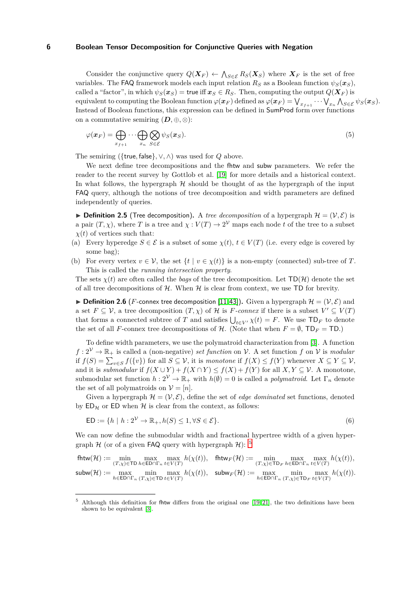Consider the conjunctive query  $Q(X_F) \leftarrow \bigwedge_{S \in \mathcal{E}} R_S(X_S)$  where  $X_F$  is the set of free variables. The FAQ framework models each input relation  $R<sub>S</sub>$  as a Boolean function  $\psi<sub>S</sub>(\mathbf{x}<sub>S</sub>)$ , called a "factor", in which  $\psi_S(\mathbf{x}_S) = \text{true}$  iff  $\mathbf{x}_S \in R_S$ . Then, computing the output  $Q(\mathbf{X}_F)$  is  $\phi(\bm{x}_F) = \bigvee_{x_{f+1}} \cdots \bigvee_{x_n} \bigwedge_{S \in \mathcal{E}} \psi_S(\bm{x}_S).$ Instead of Boolean functions, this expression can be defined in SumProd form over functions on a commutative semiring  $(D, \oplus, \otimes)$ :

<span id="page-5-1"></span>
$$
\varphi(\boldsymbol{x}_F) = \bigoplus_{x_{f+1}} \cdots \bigoplus_{x_n} \bigotimes_{S \in \mathcal{E}} \psi_S(\boldsymbol{x}_S). \tag{5}
$$

The semiring ({true*,* false}*,* ∨*,* ∧) was used for *Q* above.

We next define tree decompositions and the fhtw and subw parameters. We refer the reader to the recent survey by Gottlob et al. [19] for more details and a historical context. In what follows, the hypergraph  $H$  should be thought of as the hypergraph of the input FAQ query, although the notions of tree decomposition and width parameters are defined independently of queries.

<span id="page-5-2"></span> $\triangleright$  **Definition 2.5** (Tree decomposition). A *tree decomposition* of a hypergraph  $\mathcal{H} = (\mathcal{V}, \mathcal{E})$  is a pair  $(T, \chi)$ , where *T* is a tree and  $\chi : V(T) \to 2^{\mathcal{V}}$  maps each node *t* of the tree to a subset  $\chi(t)$  of vertices such that:

- (a) Every hyperedge  $S \in \mathcal{E}$  is a subset of some  $\chi(t), t \in V(T)$  (i.e. every edge is covered by some bag);
- (b) For every vertex  $v \in V$ , the set  $\{t \mid v \in \chi(t)\}$  is a non-empty (connected) sub-tree of *T*. This is called the *running intersection property*.

The sets  $\chi(t)$  are often called the *bags* of the tree decomposition. Let  $TD(H)$  denote the set of all tree decompositions of  $H$ . When  $H$  is clear from context, we use TD for brevity.

 $\triangleright$  **Definition 2.6** (*F*-connex tree decomposition [\[11,](#page-17-4)[43\]](#page-18-7)). Given a hypergraph  $\mathcal{H} = (\mathcal{V}, \mathcal{E})$  and a set  $F \subseteq V$ , a tree decomposition  $(T, \chi)$  of  $H$  is  $F$ *-connex* if there is a subset  $V' \subseteq V(T)$ that forms a connected subtree of *T* and satisfies  $\bigcup_{t \in V'} \chi(t) = F$ . We use  $\text{TD}_F$  to denote the set of all *F*-connex tree decompositions of H. (Note that when  $F = \emptyset$ ,  $\mathsf{TD}_F = \mathsf{TD}$ .)

To define width parameters, we use the polymatroid characterization from [\[3\]](#page-17-1). A function  $f: 2^{\mathcal{V}} \to \mathbb{R}_+$  is called a (non-negative) *set function* on V. A set function f on V is *modular* if  $f(S) = \sum_{v \in S} f({v})$  for all  $S \subseteq V$ , it is *monotone* if  $f(X) \le f(Y)$  whenever  $X \subseteq Y \subseteq V$ , and it is *submodular* if  $f(X \cup Y) + f(X \cap Y) \leq f(X) + f(Y)$  for all  $X, Y \subseteq V$ . A monotone, submodular set function  $h: 2^{\mathcal{V}} \to \mathbb{R}_+$  with  $h(\emptyset) = 0$  is called a *polymatroid*. Let  $\Gamma_n$  denote the set of all polymatroids on  $V = [n]$ .

Given a hypergraph  $\mathcal{H} = (\mathcal{V}, \mathcal{E})$ , define the set of *edge dominated* set functions, denoted by  $ED_{\mathcal{H}}$  or ED when  $\mathcal{H}$  is clear from the context, as follows:

$$
ED := \{ h \mid h : 2^{\mathcal{V}} \to \mathbb{R}_+, h(S) \le 1, \forall S \in \mathcal{E} \}. \tag{6}
$$

We can now define the submodular width and fractional hypertree width of a given hypergraph  $H$  (or of a given FAQ query with hypergraph  $H$ ): <sup>[5](#page-5-0)</sup>

$$
\begin{array}{ll}\text{fhtw}(\mathcal{H}):= \min\limits_{(T,\chi)\in \text{TD}\,h\in \text{ED}\cap \Gamma_n}\max\limits_{t\in V(T)}h(\chi(t)), & \text{fhtw}_F(\mathcal{H}):= \min\limits_{(T,\chi)\in \text{TD}_F}\max\limits_{h\in \text{ED}\cap \Gamma_n}\sum\limits_{t\in V(T)}h(\chi(t)),\\ \text{subw}(\mathcal{H}):= \max\limits_{h\in \text{ED}\cap \Gamma_n}\min\limits_{(T,\chi)\in \text{TD}\,t\in V(T)}\max\limits_{t\in V(T)}h(\chi(t)), & \text{subw}_F(\mathcal{H}):= \max\limits_{h\in \text{ED}\cap \Gamma_n}\min\limits_{(T,\chi)\in \text{TD}_F}\max\limits_{t\in V(T)}h(\chi(t)).\end{array}
$$

<span id="page-5-0"></span><sup>5</sup> Although this definition for fhtw differs from the original one [19, 21], the two definitions have been shown to be equivalent [\[3\]](#page-17-1).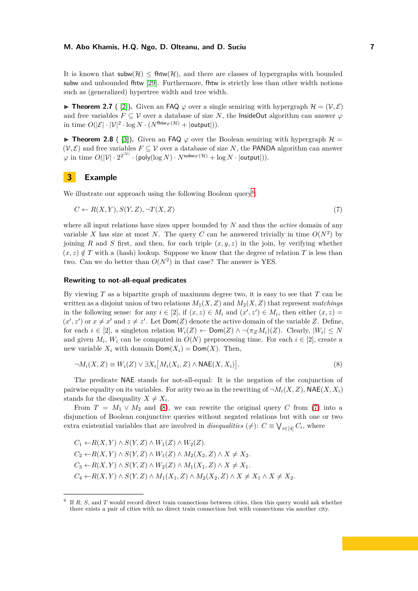It is known that  $\mathsf{subw}(\mathcal{H}) \leq \mathsf{fhtw}(\mathcal{H})$ , and there are classes of hypergraphs with bounded subw and unbounded fhtw [\[29\]](#page-18-2). Furthermore, fhtw is strictly less than other width notions such as (generalized) hypertree width and tree width.

<span id="page-6-3"></span>**Theorem 2.7** ( [\[2\]](#page-17-0)). Given an FAQ  $\varphi$  over a single semiring with hypergraph  $\mathcal{H} = (\mathcal{V}, \mathcal{E})$ and free variables  $F \subseteq V$  over a database of size N, the InsideOut algorithm can answer  $\varphi$ in time  $O(|\mathcal{E}| \cdot |\mathcal{V}|^2 \cdot \log N \cdot (N^{\text{fhtw}_F(\mathcal{H})} + |\text{output}|)).$ 

<span id="page-6-4"></span>**Theorem 2.8** ( [\[3\]](#page-17-1)). Given an FAQ  $\varphi$  over the Boolean semiring with hypergraph  $\mathcal{H} =$  $(V, \mathcal{E})$  and free variables  $F \subseteq V$  over a database of size *N*, the PANDA algorithm can answer  $\varphi$  in time  $O(|\mathcal{V}| \cdot 2^{2^{|\mathcal{V}|}} \cdot (\textsf{poly}(\log N) \cdot N^{\textsf{subw}_F(\mathcal{H})} + \log N \cdot |\textsf{output}|)).$ 

#### **3 Example**

We illustrate our approach using the following Boolean query<sup>[6](#page-6-0)</sup>:

<span id="page-6-2"></span>
$$
C \leftarrow R(X, Y), S(Y, Z), \neg T(X, Z) \tag{7}
$$

where all input relations have sizes upper bounded by *N* and thus the *active* domain of any variable *X* has size at most *N*. The query *C* can be answered trivially in time  $O(N^2)$  by joining *R* and *S* first, and then, for each triple  $(x, y, z)$  in the join, by verifying whether  $(x, z) \notin T$  with a (hash) lookup. Suppose we know that the degree of relation *T* is less than two. Can we do better than  $O(N^2)$  in that case? The answer is YES.

#### **Rewriting to not-all-equal predicates**

By viewing *T* as a bipartite graph of maximum degree two, it is easy to see that *T* can be written as a disjoint union of two relations  $M_1(X, Z)$  and  $M_2(X, Z)$  that represent *matchings* in the following sense: for any  $i \in [2]$ , if  $(x, z) \in M_i$  and  $(x', z') \in M_i$ , then either  $(x, z) =$  $(x', z')$  or  $x \neq x'$  and  $z \neq z'$ . Let  $Dom(Z)$  denote the active domain of the variable *Z*. Define, for each  $i \in [2]$ , a singleton relation  $W_i(Z) \leftarrow \text{Dom}(Z) \land \neg(\pi_Z M_i)(Z)$ . Clearly,  $|W_i| \leq N$ and given  $M_i$ ,  $W_i$  can be computed in  $O(N)$  preprocessing time. For each  $i \in [2]$ , create a new variable  $X_i$  with domain  $Dom(X_i) = Dom(X)$ . Then,

<span id="page-6-1"></span>
$$
\neg M_i(X, Z) \equiv W_i(Z) \lor \exists X_i \big[ M_i(X_i, Z) \land \mathsf{NAE}(X, X_i) \big]. \tag{8}
$$

The predicate NAE stands for not-all-equal: It is the negation of the conjunction of pairwise equality on its variables. For arity two as in the rewriting of  $\neg M_i(X, Z)$ , NAE $(X, X_i)$ stands for the disequality  $X \neq X_i$ .

From  $T = M_1 \vee M_2$  and [\(8\)](#page-6-1), we can rewrite the original query C from [\(7\)](#page-6-2) into a disjunction of Boolean conjunctive queries without negated relations but with one or two extra existential variables that are involved in *disequalities* ( $\neq$ ):  $C \equiv \bigvee_{i \in [4]} C_i$ , where

 $C_1 \leftarrow R(X, Y) \wedge S(Y, Z) \wedge W_1(Z) \wedge W_2(Z)$ . *C*<sub>2</sub> ← *R*(*X, Y*) ∧ *S*(*Y, Z*) ∧ *W*<sub>1</sub>(*Z*) ∧ *M*<sub>2</sub>(*X*<sub>2</sub>, *Z*) ∧ *X* ≠ *X*<sub>2</sub>. *C*<sub>3</sub> ← *R*(*X, Y*) ∧ *S*(*Y, Z*) ∧ *W*<sub>2</sub>(*Z*) ∧ *M*<sub>1</sub>(*X*<sub>1</sub>, *Z*) ∧ *X* ≠ *X*<sub>1</sub>.  $C_4 \leftarrow R(X, Y) \wedge S(Y, Z) \wedge M_1(X_1, Z) \wedge M_2(X_2, Z) \wedge X \neq X_1 \wedge X \neq X_2.$ 

<span id="page-6-0"></span><sup>&</sup>lt;sup>6</sup> If *R*, *S*, and *T* would record direct train connections between cities, then this query would ask whether there exists a pair of cities with no direct train connection but with connections via another city.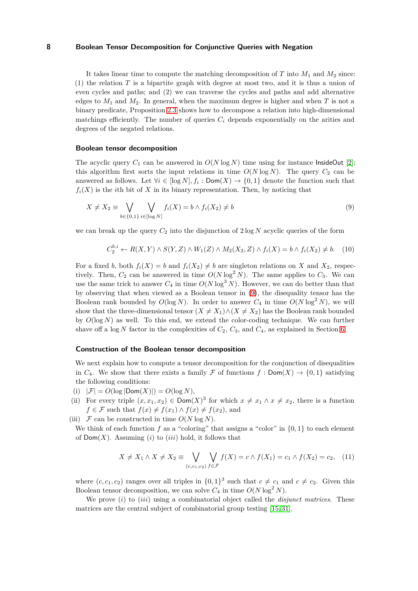It takes linear time to compute the matching decomposition of  $T$  into  $M_1$  and  $M_2$  since:  $(1)$  the relation *T* is a bipartite graph with degree at most two, and it is thus a union of even cycles and paths; and (2) we can traverse the cycles and paths and add alternative edges to  $M_1$  and  $M_2$ . In general, when the maximum degree is higher and when *T* is not a binary predicate, Proposition [2.3](#page-4-0) shows how to decompose a relation into high-dimensional matchings efficiently. The number of queries  $C_i$  depends exponentially on the arities and degrees of the negated relations.

#### **Boolean tensor decomposition**

The acyclic query  $C_1$  can be answered in  $O(N \log N)$  time using for instance InsideOut [\[2\]](#page-17-0); this algorithm first sorts the input relations in time  $O(N \log N)$ . The query  $C_2$  can be answered as follows. Let  $\forall i \in [\log N], f_i : \text{Dom}(X) \to \{0,1\}$  denote the function such that  $f_i(X)$  is the *i*th bit of *X* in its binary representation. Then, by noticing that

$$
X \neq X_2 \equiv \bigvee_{b \in \{0,1\}} \bigvee_{i \in [\log N]} f_i(X) = b \land f_i(X_2) \neq b \tag{9}
$$

we can break up the query  $C_2$  into the disjunction of  $2 \log N$  acyclic queries of the form

<span id="page-7-0"></span>
$$
C_2^{b,i} \leftarrow R(X,Y) \land S(Y,Z) \land W_1(Z) \land M_2(X_2,Z) \land f_i(X) = b \land f_i(X_2) \neq b. \quad (10)
$$

For a fixed *b*, both  $f_i(X) = b$  and  $f_i(X_2) \neq b$  are singleton relations on X and  $X_2$ , respectively. Then,  $C_2$  can be answered in time  $O(N \log^2 N)$ . The same applies to  $C_3$ . We can use the same trick to answer  $C_4$  in time  $O(N \log^3 N)$ . However, we can do better than that by observing that when viewed as a Boolean tensor in [\(9\)](#page-7-0), the disequality tensor has the Boolean rank bounded by  $O(\log N)$ . In order to answer  $C_4$  in time  $O(N \log^2 N)$ , we will show that the three-dimensional tensor  $(X \neq X_1) \wedge (X \neq X_2)$  has the Boolean rank bounded by  $O(\log N)$  as well. To this end, we extend the color-coding technique. We can further shave off a log  $N$  factor in the complexities of  $C_2$ ,  $C_3$ , and  $C_4$ , as explained in Section [6.](#page-13-0)

#### **Construction of the Boolean tensor decomposition**

We next explain how to compute a tensor decomposition for the conjunction of disequalities in  $C_4$ . We show that there exists a family  $\mathcal F$  of functions  $f : \text{Dom}(X) \to \{0,1\}$  satisfying the following conditions:

- (i)  $|\mathcal{F}| = O(\log |\text{Dom}(X)|) = O(\log N),$
- (ii) For every triple  $(x, x_1, x_2) \in \text{Dom}(X)^3$  for which  $x \neq x_1 \land x \neq x_2$ , there is a function *f* ∈ *F* such that  $f(x) \neq f(x_1) \land f(x) \neq f(x_2)$ , and

(iii)  $\mathcal F$  can be constructed in time  $O(N \log N)$ .

We think of each function  $f$  as a "coloring" that assigns a "color" in  $\{0, 1\}$  to each element of  $Dom(X)$ . Assuming (*i*) to (*iii*) hold, it follows that

$$
X \neq X_1 \land X \neq X_2 \equiv \bigvee_{(c,c_1,c_2)} \bigvee_{f \in \mathcal{F}} f(X) = c \land f(X_1) = c_1 \land f(X_2) = c_2, \quad (11)
$$

where  $(c, c_1, c_2)$  ranges over all triples in  $\{0, 1\}^3$  such that  $c \neq c_1$  and  $c \neq c_2$ . Given this Boolean tensor decomposition, we can solve  $C_4$  in time  $O(N \log^2 N)$ .

We prove (*i*) to (*iii*) using a combinatorial object called the *disjunct matrices*. These matrices are the central subject of combinatorial group testing [\[15,](#page-17-5) [31\]](#page-18-8).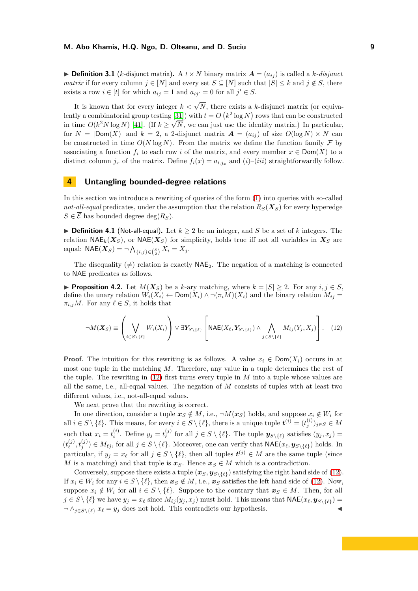$\blacktriangleright$  **Definition 3.1** (*k*-disjunct matrix). A  $t \times N$  binary matrix  $A = (a_{ij})$  is called a *k*-disjunct *matrix* if for every column  $j \in [N]$  and every set  $S \subseteq [N]$  such that  $|S| \leq k$  and  $j \notin S$ , there exists a row  $i \in [t]$  for which  $a_{ij} = 1$  and  $a_{ij'} = 0$  for all  $j' \in S$ .

It is known that for every integer  $k < \sqrt{N}$ , there exists a *k*-disjunct matrix (or equiva-lently a combinatorial group testing [\[31\]](#page-18-8)) with  $t = O(k^2 \log N)$  rows that can be constructed in time  $O(k^2 N \log N)$  [41]. (If  $k \ge \sqrt{N}$ , we can just use the identity matrix.) In particular, for  $N = |Dom(X)|$  and  $k = 2$ , a 2-disjunct matrix  $\mathbf{A} = (a_{ij})$  of size  $O(log N) \times N$  can be constructed in time  $O(N \log N)$ . From the matrix we define the function family  $\mathcal F$  by associating a function  $f_i$  to each row *i* of the matrix, and every member  $x \in Dom(X)$  to a distinct column  $j_x$  of the matrix. Define  $f_i(x) = a_{i,j_x}$  and  $(i)$ – $(iii)$  straightforwardly follow.

# <span id="page-8-0"></span>**4 Untangling bounded-degree relations**

In this section we introduce a rewriting of queries of the form [\(1\)](#page-0-1) into queries with so-called *not-all-equal* predicates, under the assumption that the relation  $R<sub>S</sub>(X<sub>S</sub>)$  for every hyperedge  $S \in \overline{\mathcal{E}}$  has bounded degree deg( $R_S$ ).

▶ **Definition 4.1** (Not-all-equal). Let  $k \geq 2$  be an integer, and *S* be a set of *k* integers. The relation  $\mathsf{NAE}_k(\mathbf{X}_S)$ , or  $\mathsf{NAE}(\mathbf{X}_S)$  for simplicity, holds true iff not all variables in  $\mathbf{X}_S$  are  $\text{equal: } \mathsf{NAE}(\bm{X}_S) = \neg \bigwedge_{\{i,j\} \in {S \choose 2}} X_i = X_j.$ 

The disequality  $(\neq)$  relation is exactly NAE<sub>2</sub>. The negation of a matching is connected to NAE predicates as follows.

▶ **Proposition 4.2.** Let  $M(X_S)$  be a *k*-ary matching, where  $k = |S| \geq 2$ . For any  $i, j \in S$ , define the unary relation  $W_i(X_i) \leftarrow \text{Dom}(X_i) \wedge \neg (\pi_i M)(X_i)$  and the binary relation  $M_{ij} =$  $\pi_{i,j}M$ . For any  $\ell \in S$ , it holds that

<span id="page-8-1"></span>
$$
\neg M(\boldsymbol{X}_S) \equiv \left(\bigvee_{i \in S \setminus \{\ell\}} W_i(X_i)\right) \vee \exists \boldsymbol{Y}_{S \setminus \{\ell\}} \left[\mathsf{NAE}(X_{\ell}, \boldsymbol{Y}_{S \setminus \{\ell\}}) \wedge \bigwedge_{j \in S \setminus \{\ell\}} M_{\ell j}(Y_j, X_j)\right]. \tag{12}
$$

**Proof.** The intuition for this rewriting is as follows. A value  $x_i \in \text{Dom}(X_i)$  occurs in at most one tuple in the matching *M*. Therefore, any value in a tuple determines the rest of the tuple. The rewriting in [\(12\)](#page-8-1) first turns every tuple in *M* into a tuple whose values are all the same, i.e., all-equal values. The negation of *M* consists of tuples with at least two different values, i.e., not-all-equal values.

We next prove that the rewriting is correct.

In one direction, consider a tuple  $x_S \notin M$ , i.e.,  $\neg M(x_S)$  holds, and suppose  $x_i \notin W_i$  for all  $i \in S \setminus \{\ell\}$ . This means, for every  $i \in S \setminus \{\ell\}$ , there is a unique tuple  $\mathbf{t}^{(i)} = (t_j^{(i)})_{j \in S} \in M$ such that  $x_i = t_i^{(i)}$  $y_j = t_{\ell}^{(j)}$  $\mathbf{y}^{(j)}$  for all  $j \in S \setminus \{\ell\}$ . The tuple  $\mathbf{y}_{S \setminus \{\ell\}}$  satisfies  $(y_j, x_j) =$  $(t_{\ell}^{(j)}$  $(y^{(j)}, t^{(j)}_j) \in M_{\ell j}$ , for all  $j \in S \setminus \{\ell\}$ . Moreover, one can verify that  $\mathsf{NAE}(x_\ell, \mathbf{y}_{S \setminus \{\ell\}})$  holds. In particular, if  $y_j = x_\ell$  for all  $j \in S \setminus \{\ell\}$ , then all tuples  $t^{(j)} \in M$  are the same tuple (since *M* is a matching) and that tuple is  $x_S$ . Hence  $x_S \in M$  which is a contradiction.

Conversely, suppose there exists a tuple  $(x_S, y_{S \setminus \{\ell\}})$  satisfying the right hand side of [\(12\)](#page-8-1). If  $x_i \in W_i$  for any  $i \in S \setminus \{\ell\}$ , then  $x_S \notin M$ , i.e.,  $x_S$  satisfies the left hand side of [\(12\)](#page-8-1). Now, suppose  $x_i \notin W_i$  for all  $i \in S \setminus \{\ell\}$ . Suppose to the contrary that  $x_S \in M$ . Then, for all  $j \in S \setminus \{\ell\}$  we have  $y_j = x_\ell$  since  $M_{\ell j}(y_j, x_j)$  must hold. This means that  $\mathsf{NAE}(x_\ell, \mathbf{y}_{S \setminus \{\ell\}})$  $\neg \wedge_{j \in S \setminus \{\ell\}} x_{\ell} = y_j$  does not hold. This contradicts our hypothesis.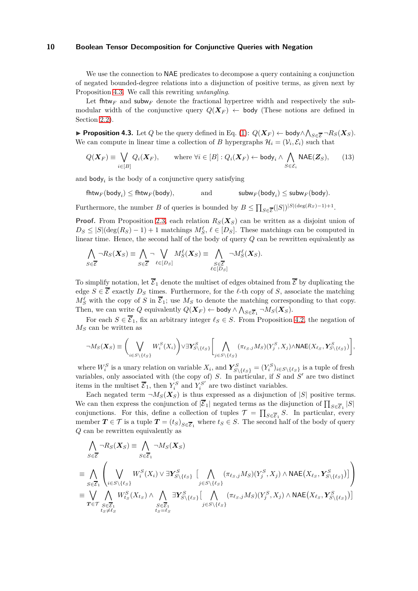We use the connection to **NAE** predicates to decompose a query containing a conjunction of negated bounded-degree relations into a disjunction of positive terms, as given next by Proposition [4.3.](#page-9-0) We call this rewriting *untangling*.

Let fhtw<sub>F</sub> and subw<sub>F</sub> denote the fractional hypertree width and respectively the submodular width of the conjunctive query  $Q(\mathbf{X}_F) \leftarrow$  body (These notions are defined in Section [2.2\)](#page-4-2).

▶ **Proposition 4.3.** Let *Q* be the query defined in Eq. [\(1\)](#page-0-1):  $Q(X_F)$  ← body $\land \bigwedge_{S \in \overline{\mathcal{E}}} \neg R_S(X_S)$ . We can compute in linear time a collection of *B* hypergraphs  $\mathcal{H}_i = (\mathcal{V}_i, \mathcal{E}_i)$  such that

<span id="page-9-0"></span>
$$
Q(\boldsymbol{X}_F) \equiv \bigvee_{i \in [B]} Q_i(\boldsymbol{X}_F), \qquad \text{where } \forall i \in [B] : Q_i(\boldsymbol{X}_F) \leftarrow \text{body}_i \land \bigwedge_{S \in \mathcal{E}_i} \text{NAE}(\boldsymbol{Z}_S), \qquad (13)
$$

and  $\text{body}_i$  is the body of a conjunctive query satisfying

 $fhtw_F(\text{body}_i) \leq fhtw_F(\text{body})$ , and  $\text{subw}_F(\text{body}_i)$  $\mathsf{subw}_F(\mathsf{body}_i) \leq \mathsf{subw}_F(\mathsf{body}).$ 

Furthermore, the number *B* of queries is bounded by  $B \le \prod_{S \in \overline{\mathcal{E}}}(|S|)^{|S|(\deg(R_S)-1)+1}$ .

**Proof.** From Proposition [2.3,](#page-4-0) each relation  $R_S(X_S)$  can be written as a disjoint union of  $D_S \leq |S|(\deg(R_S) - 1) + 1$  matchings  $M_S^{\ell}$ ,  $\ell \in [D_S]$ . These matchings can be computed in linear time. Hence, the second half of the body of query *Q* can be rewritten equivalently as

$$
\bigwedge_{S \in \overline{\mathcal{E}}} \neg R_S(\mathbf{X}_S) \equiv \bigwedge_{S \in \overline{\mathcal{E}}} \neg \bigvee_{\ell \in [D_S]} M_S^{\ell}(\mathbf{X}_S) \equiv \bigwedge_{\substack{S \in \overline{\mathcal{E}} \\ \ell \in [D_S]}} \neg M_S^{\ell}(\mathbf{X}_S).
$$

To simplify notation, let  $\overline{\mathcal{E}}_1$  denote the multiset of edges obtained from  $\overline{\mathcal{E}}$  by duplicating the edge  $S \in \overline{\mathcal{E}}$  exactly  $D_S$  times. Furthermore, for the  $\ell$ -th copy of *S*, associate the matching  $M_S^{\ell}$  with the copy of *S* in  $\overline{\mathcal{E}}_1$ ; use  $M_S$  to denote the matching corresponding to that copy. Then, we can write Q equivalently  $Q(\boldsymbol{X}_F) \leftarrow \text{body} \wedge \bigwedge_{S \in \overline{\mathcal{E}}_1} \neg M_S(\boldsymbol{X}_S)$ .

For each  $S \in \overline{\mathcal{E}}_1$ , fix an arbitrary integer  $\ell_S \in S$ . From Proposition [4.2,](#page-8-1) the negation of *M<sup>S</sup>* can be written as

$$
\neg M_S(\boldsymbol{X}_S) \equiv \bigg(\bigvee_{i \in S \setminus \{\ell_S\}} W_i^S(X_i)\bigg) \lor \exists \boldsymbol{Y}_{S \setminus \{\ell_S\}}^S \bigg[\bigwedge_{j \in S \setminus \{\ell_S\}} (\pi_{\ell_S, j} M_S)(Y_j^S, X_j) \land \text{NAE}(X_{\ell_S}, \boldsymbol{Y}_{S \setminus \{\ell_S\}}^S)\bigg],
$$

where  $W_i^S$  is a unary relation on variable  $X_i$ , and  $\boldsymbol{Y}_{S\setminus\{\ell_S\}}^S = (Y_i^S)_{i \in S \setminus \{\ell_S\}}$  is a tuple of fresh variables, only associated with (the copy of) *S*. In particular, if *S* and *S* ′ are two distinct items in the multiset  $\overline{\mathcal{E}}_1$ , then  $Y_i^S$  and  $Y_i^{S'}$  are two distinct variables.

Each negated term  $\neg M_S(X_S)$  is thus expressed as a disjunction of  $|S|$  positive terms. We can then express the conjunction of  $|\overline{\mathcal{E}}_1|$  negated terms as the disjunction of  $\prod_{S \in \overline{\mathcal{E}}_1} |S|$ conjunctions. For this, define a collection of tuples  $\mathcal{T} = \prod_{S \in \overline{\mathcal{E}}_1} S$ . In particular, every member  $T \in \mathcal{T}$  is a tuple  $T = (t_S)_{S \in \overline{\mathcal{E}}_1}$  where  $t_S \in S$ . The second half of the body of query *Q* can be rewritten equivalently as

$$
\begin{split}\n&\bigwedge_{S\in\overline{\mathcal{E}}} \neg R_{S}(X_{S}) \equiv \bigwedge_{S\in\overline{\mathcal{E}}_{1}} \neg M_{S}(X_{S}) \\
&\equiv \bigwedge_{S\in\overline{\mathcal{E}}_{1}} \left( \bigvee_{i\in S\backslash\{\ell_{S}\}} W_{i}^{S}(X_{i}) \vee \exists \mathbf{Y}_{S\backslash\{\ell_{S}\}}^{S} \left[ \bigwedge_{j\in S\backslash\{\ell_{S}\}} (\pi_{\ell_{S},j}M_{S})(Y_{j}^{S},X_{j}) \wedge \text{NAE}(X_{\ell_{S}},Y_{S\backslash\{\ell_{S}\}}^{S}) \right] \right) \\
&\equiv \bigvee_{\mathbf{T}\in\mathcal{T}} \bigwedge_{\substack{S\in\overline{\mathcal{E}}_{1} \\ \mathbf{t}_{S}\neq\ell_{S}} W_{i_{S}}^{S}(X_{t_{S}}) \wedge \bigwedge_{\substack{S\in\overline{\mathcal{E}}_{1} \\ \mathbf{t}_{S}= \ell_{S}}} \exists \mathbf{Y}_{S\backslash\{\ell_{S}\}}^{S} \left[ \bigwedge_{j\in S\backslash\{\ell_{S}\}} (\pi_{\ell_{S},j}M_{S})(Y_{j}^{S},X_{j}) \wedge \text{NAE}(X_{\ell_{S}},Y_{S\backslash\{\ell_{S}\}}^{S}) \right]\n\end{split}
$$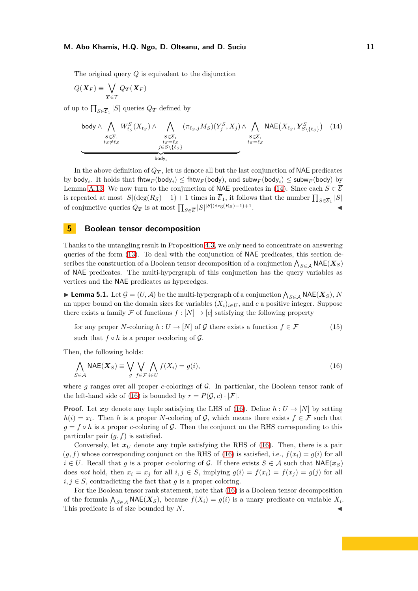The original query *Q* is equivalent to the disjunction

$$
Q(\boldsymbol{X}_F) \equiv \bigvee_{\boldsymbol{T} \in \mathcal{T}} Q_{\boldsymbol{T}}(\boldsymbol{X}_F)
$$

of up to  $\prod_{S \in \overline{\mathcal{E}}_1} |S|$  queries  $Q_T$  defined by

<span id="page-10-3"></span>body 
$$
\wedge \bigwedge_{\substack{S \in \overline{\mathcal{E}}_1 \\ t_S \neq \ell_S}} W^S_{t_S}(X_{t_S}) \wedge \bigwedge_{\substack{S \in \overline{\mathcal{E}}_1 \\ t_S = \ell_S \\ j \in S \setminus \{\ell_S\}}} (\pi_{\ell_S, j} M_S)(Y^S_j, X_j) \wedge \bigwedge_{\substack{S \in \overline{\mathcal{E}}_1 \\ t_S = \ell_S \\ t_S = \ell_S}} \text{NAE}(X_{\ell_S}, Y^S_{S \setminus \{\ell_S\}}) \tag{14}
$$

In the above definition of  $Q_T$ , let us denote all but the last conjunction of NAE predicates by  $\text{body}_i$ . It holds that  $\text{fhtw}_F(\text{body}_i) \leq \text{fhtw}_F(\text{body})$ , and  $\text{subw}_F(\text{body}_i) \leq \text{subw}_F(\text{body})$  by Lemma [A.13.](#page-23-0) We now turn to the conjunction of NAE predicates in [\(14\)](#page-10-3). Since each  $S \in \overline{S}$ is repeated at most  $|S|(\deg(R_S) - 1) + 1$  times in  $\overline{\mathcal{E}}_1$ , it follows that the number  $\prod_{S \in \overline{\mathcal{E}}_1} |S|$ of conjunctive queries  $Q_T$  is at most  $\prod_{S \in \overline{\mathcal{E}}} |S|^{|S|(\deg(R_S) - 1) + 1}$ . ◭

# <span id="page-10-1"></span>**5 Boolean tensor decomposition**

Thanks to the untangling result in Proposition [4.3,](#page-9-0) we only need to concentrate on answering queries of the form [\(13\)](#page-9-0). To deal with the conjunction of NAE predicates, this section describes the construction of a Boolean tensor decomposition of a conjunction  $\bigwedge_{S \in \mathcal{A}} \mathsf{NAE}(\boldsymbol{X_S})$ of NAE predicates. The multi-hypergraph of this conjunction has the query variables as vertices and the NAE predicates as hyperedges.

<span id="page-10-0"></span>► Lemma 5.1. Let  $G = (U, A)$  be the multi-hypergraph of a conjunction  $\bigwedge_{S \in A} \textsf{NAE}(X_S)$ ,  $N$ an upper bound on the domain sizes for variables  $(X_i)_{i \in U}$ , and c a positive integer. Suppose there exists a family F of functions  $f : [N] \to [c]$  satisfying the following property

<span id="page-10-4"></span>for any proper N-coloring 
$$
h: U \to [N]
$$
 of  $\mathcal{G}$  there exists a function  $f \in \mathcal{F}$  (15)

such that  $f \circ h$  is a proper *c*-coloring of  $\mathcal{G}$ .

Then, the following holds:

<span id="page-10-2"></span>
$$
\bigwedge_{S \in \mathcal{A}} \text{NAE}(X_S) \equiv \bigvee_{g} \bigvee_{f \in \mathcal{F}} \bigvee_{i \in U} f(X_i) = g(i),\tag{16}
$$

where *g* ranges over all proper *c*-colorings of G. In particular, the Boolean tensor rank of the left-hand side of [\(16\)](#page-10-2) is bounded by  $r = P(\mathcal{G}, c) \cdot |\mathcal{F}|$ .

**Proof.** Let  $x_U$  denote any tuple satisfying the LHS of [\(16\)](#page-10-2). Define  $h: U \to [N]$  by setting  $h(i) = x_i$ . Then *h* is a proper *N*-coloring of G, which means there exists  $f \in \mathcal{F}$  such that  $q = f \circ h$  is a proper *c*-coloring of G. Then the conjunct on the RHS corresponding to this particular pair (*g, f*) is satisfied.

Conversely, let  $x_U$  denote any tuple satisfying the RHS of [\(16\)](#page-10-2). Then, there is a pair  $(q, f)$  whose corresponding conjunct on the RHS of [\(16\)](#page-10-2) is satisfied, i.e.,  $f(x_i) = q(i)$  for all *i* ∈ *U*. Recall that *g* is a proper *c*-coloring of *G*. If there exists *S* ∈ A such that NAE( $x_S$ ) does *not* hold, then  $x_i = x_j$  for all  $i, j \in S$ , implying  $g(i) = f(x_i) = f(x_j) = g(j)$  for all  $i, j \in S$ , contradicting the fact that *g* is a proper coloring.

For the Boolean tensor rank statement, note that [\(16\)](#page-10-2) is a Boolean tensor decomposition of the formula  $\bigwedge_{S \in \mathcal{A}} \textsf{NAE}(X_S)$ , because  $f(X_i) = g(i)$  is a unary predicate on variable  $X_i$ . This predicate is of size bounded by *N*.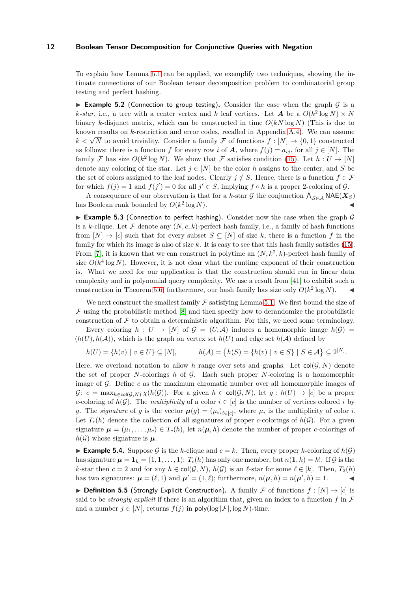To explain how Lemma [5.1](#page-10-2) can be applied, we exemplify two techniques, showing the intimate connections of our Boolean tensor decomposition problem to combinatorial group testing and perfect hashing.

<span id="page-11-0"></span>**Example 5.2** (Connection to group testing). Consider the case when the graph  $G$  is a *k*-*star*, i.e., a tree with a center vertex and *k* leaf vertices. Let *A* be a  $O(k^2 \log N) \times N$ binary *k*-disjunct matrix, which can be constructed in time  $O(kN \log N)$  (This is due to known results on *k*-restriction and error codes, recalled in Appendix [A.4\)](#page-24-0). We can assume  $k < \sqrt{N}$  to avoid triviality. Consider a family  $\mathcal F$  of functions  $f : [N] \to \{0,1\}$  constructed as follows: there is a function *f* for every row *i* of *A*, where  $f(j) = a_{ij}$ , for all  $j \in [N]$ . The family F has size  $O(k^2 \log N)$ . We show that F satisfies condition [\(15\)](#page-10-4). Let  $h: U \to [N]$ denote any coloring of the star. Let  $j \in [N]$  be the color *h* assigns to the center, and *S* be the set of colors assigned to the leaf nodes. Clearly  $j \notin S$ . Hence, there is a function  $f \in \mathcal{F}$ for which  $f(j) = 1$  and  $f(j') = 0$  for all  $j' \in S$ , implying  $f \circ h$  is a proper 2-coloring of  $\mathcal{G}$ .

A consequence of our observation is that for a *k*-star G the conjunction  $\bigwedge_{S \in \mathcal{A}} \mathsf{NAE}(X_S)$ has Boolean rank bounded by *O*(*k* 2  $\log N$ ).

**Example 5.3** (Connection to perfect hashing). Consider now the case when the graph  $\mathcal{G}$ is a *k*-clique. Let  $\mathcal F$  denote any  $(N, c, k)$ -perfect hash family, i.e., a family of hash functions from  $[N] \rightarrow [c]$  such that for every subset  $S \subseteq [N]$  of size k, there is a function f in the family for which its image is also of size *k*. It is easy to see that this hash family satisfies [\(15\)](#page-10-4). From [7], it is known that we can construct in polytime an  $(N, k^2, k)$ -perfect hash family of size  $O(k^4 \log N)$ . However, it is not clear what the runtime exponent of their construction is. What we need for our application is that the construction should run in linear data complexity and in polynomial query complexity. We use a result from [41] to exhibit such a construction in Theorem [5.6;](#page-12-1) furthermore, our hash family has size only  $O(k^2 \log N)$ .

We next construct the smallest family  $\mathcal F$  satisfying Lemma [5.1.](#page-10-0) We first bound the size of  $\mathcal F$  using the probabilistic method [\[8\]](#page-17-6) and then specify how to derandomize the probabilistic construction of  $\mathcal F$  to obtain a deterministic algorithm. For this, we need some terminology.

Every coloring  $h: U \to [N]$  of  $\mathcal{G} = (U, \mathcal{A})$  induces a homomorphic image  $h(\mathcal{G}) =$  $(h(U), h(\mathcal{A}))$ , which is the graph on vertex set  $h(U)$  and edge set  $h(\mathcal{A})$  defined by

$$
h(U) = \{h(v) \mid v \in U\} \subseteq [N], \qquad h(\mathcal{A}) = \{h(S) = \{h(v) \mid v \in S\} \mid S \in \mathcal{A}\} \subseteq 2^{[N]}.
$$

Here, we overload notation to allow h range over sets and graphs. Let  $col(G, N)$  denote the set of proper *N*-colorings *h* of G. Each such proper *N*-coloring is a homomorphic image of G. Define *c* as the maximum chromatic number over all homomorphic images of  $G: c = \max_{h \in \text{col}(G, N)} \chi(h(G)).$  For a given  $h \in \text{col}(G, N)$ , let  $g : h(U) \to [c]$  be a proper *c*-coloring of  $h(G)$ . The *multiplicity* of a color  $i \in [c]$  is the number of vertices colored *i* by *g*. The *signature* of *g* is the vector  $\mu(g) = (\mu_i)_{i \in [c]}$ , where  $\mu_i$  is the multiplicity of color *i*. Let  $T_c(h)$  denote the collection of all signatures of proper *c*-colorings of  $h(\mathcal{G})$ . For a given signature  $\mu = (\mu_1, \ldots, \mu_c) \in T_c(h)$ , let  $n(\mu, h)$  denote the number of proper *c*-colorings of  $h(\mathcal{G})$  whose signature is  $\mu$ .

**Example 5.4.** Suppose G is the k-clique and  $c = k$ . Then, every proper k-coloring of  $h(G)$ has signature  $\mu = \mathbf{1}_k = (1, 1, \ldots, 1)$ :  $T_c(h)$  has only one member, but  $n(\mathbf{1}, h) = k!$ . If G is the *k*-star then  $c = 2$  and for any  $h \in \text{col}(\mathcal{G}, N)$ ,  $h(\mathcal{G})$  is an  $\ell$ -star for some  $\ell \in [k]$ . Then,  $T_2(h)$ has two signatures:  $\boldsymbol{\mu} = (\ell, 1)$  and  $\boldsymbol{\mu}' = (1, \ell)$ ; furthermore,  $n(\boldsymbol{\mu}, h) = n(\boldsymbol{\mu}', h) = 1$ .

▶ **Definition 5.5** (Strongly Explicit Construction). A family F of functions  $f : [N] \rightarrow [c]$  is said to be *strongly explicit* if there is an algorithm that, given an index to a function  $f$  in  $\mathcal F$ and a number  $j \in [N]$ , returns  $f(j)$  in poly(log  $|\mathcal{F}|$ , log N)-time.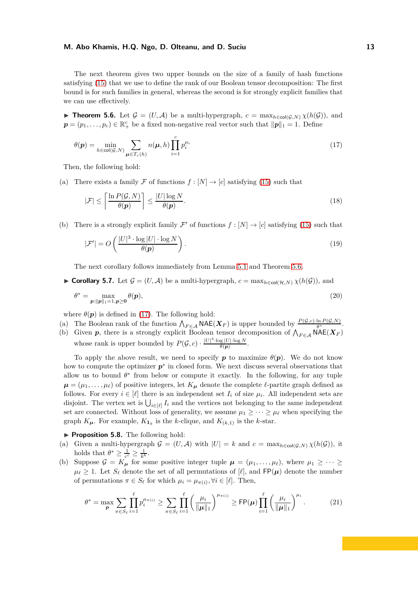The next theorem gives two upper bounds on the size of a family of hash functions satisfying [\(15\)](#page-10-4) that we use to define the rank of our Boolean tensor decomposition: The first bound is for such families in general, whereas the second is for strongly explicit families that we can use effectively.

► **Theorem 5.6.** Let  $\mathcal{G} = (U, \mathcal{A})$  be a multi-hypergraph,  $c = \max_{h \in \text{col}(\mathcal{G}, N)} \chi(h(\mathcal{G}))$ , and  $p = (p_1, \ldots, p_c) \in \mathbb{R}^c_+$  be a fixed non-negative real vector such that  $||p||_1 = 1$ . Define

<span id="page-12-2"></span>
$$
\theta(\mathbf{p}) = \min_{h \in \text{col}(\mathcal{G}, N)} \sum_{\mathbf{\mu} \in T_c(h)} n(\mathbf{\mu}, h) \prod_{i=1}^c p_i^{\mu_i}
$$
\n(17)

Then, the following hold:

(a) There exists a family F of functions  $f : [N] \to [c]$  satisfying [\(15\)](#page-10-4) such that

<span id="page-12-3"></span>
$$
|\mathcal{F}| \le \left\lceil \frac{\ln P(\mathcal{G}, N)}{\theta(p)} \right\rceil \le \frac{|U| \log N}{\theta(p)}.
$$
\n(18)

(b) There is a strongly explicit family  $\mathcal{F}'$  of functions  $f : [N] \to [c]$  satisfying [\(15\)](#page-10-4) such that

<span id="page-12-1"></span><span id="page-12-0"></span>
$$
|\mathcal{F}'| = O\left(\frac{|U|^3 \cdot \log|U| \cdot \log N}{\theta(\mathbf{p})}\right). \tag{19}
$$

The next corollary follows immediately from Lemma [5.1](#page-10-2) and Theorem [5.6.](#page-12-1)

► Corollary 5.7. Let  $\mathcal{G} = (U, \mathcal{A})$  be a multi-hypergraph,  $c = \max_{h \in col(\mathcal{H}, N)} \chi(h(\mathcal{G}))$ , and

$$
\theta^* = \max_{\boldsymbol{p}: \|\boldsymbol{p}\|_1 = 1, \boldsymbol{p} \ge \mathbf{0}} \theta(\boldsymbol{p}),\tag{20}
$$

where  $\theta(\mathbf{p})$  is defined in [\(17\)](#page-12-2). The following hold:

- (a) The Boolean rank of the function  $\bigwedge_{F \in \mathcal{A}} \mathsf{NAE}(X_F)$  is upper bounded by  $\frac{P(\mathcal{G}, c) \cdot \ln P(\mathcal{G}, N)}{\theta^*}$ .
- (b) Given  $p$ , there is a strongly explicit Boolean tensor decomposition of  $\bigwedge_{F \in \mathcal{A}} \mathsf{NAE}(X_F)$ whose rank is upper bounded by  $P(\mathcal{G}, c) \cdot \frac{|U|^3 \cdot \log |U| \cdot \log N}{\theta(\mathbf{p})}$  $\frac{\log |U| \cdot \log N}{\theta(p)}$ .

To apply the above result, we need to specify  $p$  to maximize  $\theta(p)$ . We do not know how to compute the optimizer  $p^*$  in closed form. We next discuss several observations that allow us to bound  $\theta^*$  from below or compute it exactly. In the following, for any tuple  $\mu = (\mu_1, \dots, \mu_\ell)$  of positive integers, let  $K_\mu$  denote the complete  $\ell$ -partite graph defined as follows. For every  $i \in [\ell]$  there is an independent set  $I_i$  of size  $\mu_i$ . All independent sets are disjoint. The vertex set is  $\bigcup_{i \in [\ell]} I_i$  and the vertices not belonging to the same independent set are connected. Without loss of generality, we assume  $\mu_1 \geq \cdots \geq \mu_\ell$  when specifying the graph  $K_{\mu}$ . For example,  $K_{1_k}$  is the *k*-clique, and  $K_{(k,1)}$  is the *k*-star.

<span id="page-12-4"></span>▶ **Proposition 5.8.** The following hold:

- (a) Given a multi-hypergraph  $\mathcal{G} = (U, \mathcal{A})$  with  $|U| = k$  and  $c = \max_{h \in \text{col}(\mathcal{G}, N)} \chi(h(\mathcal{G}))$ , it holds that  $\theta^* \geq \frac{1}{c^c} \geq \frac{1}{k^k}$ .
- (b) Suppose  $\mathcal{G} = K_{\mu}$  for some positive integer tuple  $\mu = (\mu_1, \dots, \mu_{\ell}),$  where  $\mu_1 \geq \dots \geq$  $\mu_{\ell} \geq 1$ . Let  $S_{\ell}$  denote the set of all permutations of  $[\ell]$ , and  $\mathsf{FP}(\mu)$  denote the number of permutations  $\pi \in S_{\ell}$  for which  $\mu_i = \mu_{\pi(i)}, \forall i \in [\ell]$ . Then,

$$
\theta^* = \max_{\mathbf{p}} \sum_{\pi \in S_\ell} \prod_{i=1}^\ell p_i^{\mu_{\pi(i)}} \ge \sum_{\pi \in S_\ell} \prod_{i=1}^\ell \left(\frac{\mu_i}{\|\boldsymbol{\mu}\|_1}\right)^{\mu_{\pi(i)}} \ge \text{FP}(\boldsymbol{\mu}) \prod_{i=1}^\ell \left(\frac{\mu_i}{\|\boldsymbol{\mu}\|_1}\right)^{\mu_i}.
$$
 (21)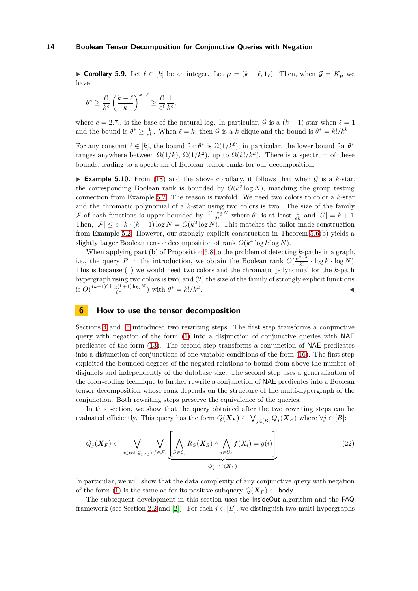► Corollary 5.9. Let  $\ell \in [k]$  be an integer. Let  $\mu = (k - \ell, 1)$ . Then, when  $\mathcal{G} = K_{\mu}$  we have

$$
\theta^* \ge \frac{\ell!}{k^{\ell}} \left(\frac{k-\ell}{k}\right)^{k-\ell} \ge \frac{\ell!}{e^{\ell}} \frac{1}{k^{\ell}},
$$

where  $e = 2.7$ *..* is the base of the natural log. In particular, G is a  $(k-1)$ -star when  $\ell = 1$ and the bound is  $\theta^* \geq \frac{1}{e^k}$ . When  $\ell = k$ , then  $\mathcal G$  is a *k*-clique and the bound is  $\theta^* = k!/k^k$ .

For any constant  $\ell \in [k]$ , the bound for  $\theta^*$  is  $\Omega(1/k^{\ell})$ ; in particular, the lower bound for  $\theta^*$ ranges anywhere between  $\Omega(1/k)$ ,  $\Omega(1/k^2)$ , up to  $\Omega(k!/k^k)$ . There is a spectrum of these bounds, leading to a spectrum of Boolean tensor ranks for our decomposition.

**Example 5.10.** From [\(18\)](#page-12-3) and the above corollary, it follows that when  $G$  is a  $k$ -star, the corresponding Boolean rank is bounded by  $O(k^2 \log N)$ , matching the group testing connection from Example [5.2.](#page-11-0) The reason is twofold. We need two colors to color a *k*-star and the chromatic polynomial of a *k*-star using two colors is two. The size of the family F of hash functions is upper bounded by  $\frac{|U|\log N}{\theta^*}$  where  $\theta^*$  is at least  $\frac{1}{ek}$  and  $|U| = k + 1$ . Then,  $|\mathcal{F}| \leq e \cdot k \cdot (k+1) \log N = O(k^2 \log N)$ . This matches the tailor-made construction from Example [5.2.](#page-11-0) However, our strongly explicit construction in Theorem [5.6\(](#page-12-1)b) yields a slightly larger Boolean tensor decomposition of rank  $O(k^4 \log k \log N)$ .

When applying part (b) of Proposition [5.8](#page-12-4) to the problem of detecting *k*-paths in a graph, i.e., the query *P* in the introduction, we obtain the Boolean rank  $O(\frac{k^{k+3}}{k})$  $\frac{k!}{k!} \cdot \log k \cdot \log N$ . This is because (1) we would need two colors and the chromatic polynomial for the *k*-path hypergraph using two colors is two, and (2) the size of the family of strongly explicit functions is  $O(\frac{(k+1)^3 \log(k+1) \log N}{\theta^*})$  $\frac{\theta^{(k+1)\log N}}{\theta^*}$  ) with  $\theta^* = k!/k^k$ . ◭

#### <span id="page-13-0"></span>**6 How to use the tensor decomposition**

Sections [4](#page-8-0) and [5](#page-10-1) introduced two rewriting steps. The first step transforms a conjunctive query with negation of the form [\(1\)](#page-0-1) into a disjunction of conjunctive queries with NAE predicates of the form [\(13\)](#page-9-0). The second step transforms a conjunction of NAE predicates into a disjunction of conjunctions of one-variable-conditions of the form [\(16\)](#page-10-2). The first step exploited the bounded degrees of the negated relations to bound from above the number of disjuncts and independently of the database size. The second step uses a generalization of the color-coding technique to further rewrite a conjunction of NAE predicates into a Boolean tensor decomposition whose rank depends on the structure of the multi-hypergraph of the conjunction. Both rewriting steps preserve the equivalence of the queries.

In this section, we show that the query obtained after the two rewriting steps can be evaluated efficiently. This query has the form  $Q(\boldsymbol{X}_F) \leftarrow \bigvee_{j \in [B]} Q_j(\boldsymbol{X}_F)$  where  $\forall j \in [B]$ :

<span id="page-13-1"></span>
$$
Q_j(\boldsymbol{X}_F) \leftarrow \bigvee_{g \in \text{col}(\mathcal{G}_j, c_j)} \bigvee_{f \in \mathcal{F}_j} \underbrace{\left[ \bigwedge_{S \in \mathcal{E}_j} R_S(\boldsymbol{X}_S) \land \bigwedge_{i \in U_j} f(X_i) = g(i) \right]}_{Q_j^{(g,f)}(\boldsymbol{X}_F)}
$$
(22)

In particular, we will show that the data complexity of any conjunctive query with negation of the form [\(1\)](#page-0-1) is the same as for its positive subquery  $Q(\boldsymbol{X}_F) \leftarrow$  body.

The subsequent development in this section uses the InsideOut algorithm and the FAQ framework (see Section [2.2](#page-4-2) and [\[2\]](#page-17-0)). For each  $j \in [B]$ , we distinguish two multi-hypergraphs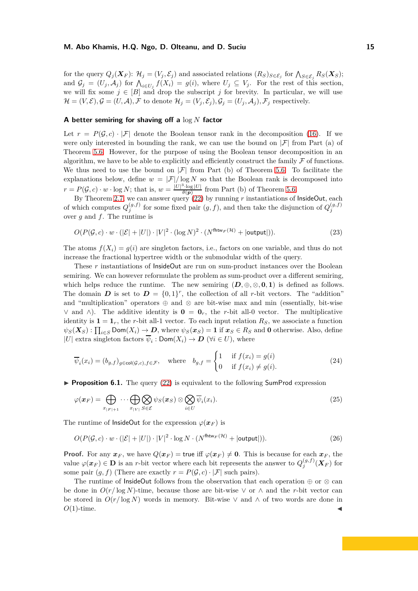for the query  $Q_j(\boldsymbol{X}_F)$ :  $\mathcal{H}_j = (V_j, \mathcal{E}_j)$  and associated relations  $(R_S)_{S \in \mathcal{E}_j}$  for  $\bigwedge_{S \in \mathcal{E}_j} R_S(\boldsymbol{X}_S)$ ; and  $\mathcal{G}_j = (U_j, \mathcal{A}_j)$  for  $\bigwedge_{i \in U_j} f(X_i) = g(i)$ , where  $U_j \subseteq V_j$ . For the rest of this section, we will fix some  $j \in [B]$  and drop the subscript *j* for brevity. In particular, we will use  $\mathcal{H} = (V, \mathcal{E}), \mathcal{G} = (U, \mathcal{A}), \mathcal{F}$  to denote  $\mathcal{H}_j = (V_j, \mathcal{E}_j), \mathcal{G}_j = (U_j, \mathcal{A}_j), \mathcal{F}_j$  respectively.

#### **A better semiring for shaving off a** log *N* **factor**

Let  $r = P(\mathcal{G}, c) \cdot |\mathcal{F}|$  denote the Boolean tensor rank in the decomposition [\(16\)](#page-10-2). If we were only interested in bounding the rank, we can use the bound on  $|\mathcal{F}|$  from Part (a) of Theorem [5.6.](#page-12-1) However, for the purpose of using the Boolean tensor decomposition in an algorithm, we have to be able to explicitly and efficiently construct the family  $\mathcal F$  of functions. We thus need to use the bound on  $|\mathcal{F}|$  from Part (b) of Theorem [5.6.](#page-12-1) To facilitate the explanations below, define  $w = |\mathcal{F}| / \log N$  so that the Boolean rank is decomposed into  $r = P(\mathcal{G}, c) \cdot w \cdot \log N$ ; that is,  $w = \frac{|U|^3 \cdot \log |U|}{\theta(\mathbf{p})}$  $\frac{\log |U|}{\theta(p)}$  from Part (b) of Theorem [5.6.](#page-12-1)

By Theorem [2.7,](#page-6-3) we can answer query [\(22\)](#page-13-1) by running *r* instantiations of InsideOut, each of which computes  $Q_j^{(g,f)}$  for some fixed pair  $(g, f)$ , and then take the disjunction of  $Q_j^{(g,f)}$ over *g* and *f*. The runtime is

$$
O(P(\mathcal{G}, c) \cdot w \cdot (|\mathcal{E}| + |U|) \cdot |V|^2 \cdot (\log N)^2 \cdot (N^{\text{fhtw}_F(\mathcal{H})} + |\text{output}|)).
$$
\n(23)

The atoms  $f(X_i) = g(i)$  are singleton factors, i.e., factors on one variable, and thus do not increase the fractional hypertree width or the submodular width of the query.

These *r* instantiations of InsideOut are run on sum-product instances over the Boolean semiring. We can however reformulate the problem as sum-product over a different semiring, which helps reduce the runtime. The new semiring  $(D, \oplus, \otimes, \mathbf{0}, \mathbf{1})$  is defined as follows. The domain  $D$  is set to  $D = \{0,1\}^r$ , the collection of all *r*-bit vectors. The "addition" and "multiplication" operators  $\oplus$  and  $\otimes$  are bit-wise max and min (essentially, bit-wise ∨ and  $\wedge$ ). The additive identity is **0** = **0**<sub>*r*</sub>, the *r*-bit all-0 vector. The multiplicative identity is  $\mathbf{1} = \mathbf{1}_r$ , the *r*-bit all-1 vector. To each input relation  $R_S$ , we associate a function  $\psi_S(\boldsymbol{X}_S): \prod_{i \in S} \textsf{Dom}(X_i) \to \boldsymbol{D}$ , where  $\psi_S(\boldsymbol{x}_S) = 1$  if  $\boldsymbol{x}_S \in R_S$  and **0** otherwise. Also, define  $|U|$  extra singleton factors  $\psi_i : \textsf{Dom}(X_i) \to \textbf{D}$  ( $\forall i \in U$ ), where

$$
\overline{\psi}_i(x_i) = (b_{g,f})_{g \in \text{col}(\mathcal{G},c), f \in \mathcal{F}}, \quad \text{where} \quad b_{g,f} = \begin{cases} 1 & \text{if } f(x_i) = g(i) \\ 0 & \text{if } f(x_i) \neq g(i). \end{cases} \tag{24}
$$

► **Proposition 6.1.** The query [\(22\)](#page-13-1) is equivalent to the following SumProd expression

$$
\varphi(\boldsymbol{x}_F) = \bigoplus_{x_{|F|+1}} \cdots \bigoplus_{x_{|V|}} \bigotimes_{S \in \mathcal{E}} \psi_S(\boldsymbol{x}_S) \otimes \bigotimes_{i \in U} \overline{\psi}_i(x_i). \tag{25}
$$

The runtime of InsideOut for the expression  $\varphi(x_F)$  is

<span id="page-14-0"></span>
$$
O(P(\mathcal{G}, c) \cdot w \cdot (|\mathcal{E}| + |U|) \cdot |V|^2 \cdot \log N \cdot (N^{\text{fhtw}_F(\mathcal{H})} + |\text{output}|)).
$$
\n(26)

**Proof.** For any  $x_F$ , we have  $Q(x_F) =$  true iff  $\varphi(x_F) \neq 0$ . This is because for each  $x_F$ , the value  $\varphi(\boldsymbol{x}_F) \in \mathbf{D}$  is an *r*-bit vector where each bit represents the answer to  $Q_j^{(g,f)}$  $j^{(g, J)}(\boldsymbol{X}_F)$  for some pair  $(g, f)$  (There are exactly  $r = P(\mathcal{G}, c) \cdot |\mathcal{F}|$  such pairs).

The runtime of InsideOut follows from the observation that each operation  $\oplus$  or  $\otimes$  can be done in  $O(r/\log N)$ -time, because those are bit-wise  $\vee$  or  $\wedge$  and the *r*-bit vector can be stored in  $O(r/\log N)$  words in memory. Bit-wise  $\vee$  and  $\wedge$  of two words are done in  $O(1)$ -time.  $O(1)$ -time.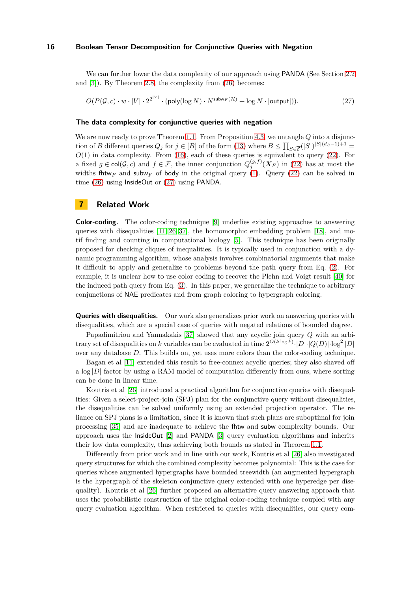We can further lower the data complexity of our approach using **PANDA** (See Section [2.2](#page-4-2)) and [\[3\]](#page-17-1)). By Theorem [2.8,](#page-6-4) the complexity from [\(26\)](#page-14-0) becomes:

<span id="page-15-0"></span> $O(P(\mathcal{G}, c) \cdot w \cdot |V| \cdot 2^{2^{|V|}} \cdot (\textsf{poly}(\log N) \cdot N^{\textsf{subw}_F(\mathcal{H})} + \log N \cdot |\textsf{output}|)).$  (27)

#### **The data complexity for conjunctive queries with negation**

We are now ready to prove Theorem [1.1.](#page-1-2) From Proposition [4.3,](#page-9-0) we untangle *Q* into a disjunction of *B* different queries  $Q_j$  for  $j \in [B]$  of the form [\(13\)](#page-9-0) where  $B \le \prod_{S \in \overline{\mathcal{E}}}(|S|)^{|S|(d_S-1)+1} =$ *O*(1) in data complexity. From [\(16\)](#page-10-2), each of these queries is equivalent to query [\(22\)](#page-13-1). For a fixed  $g \in \text{col}(\mathcal{G}, c)$  and  $f \in \mathcal{F}$ , the inner conjunction  $Q_j^{(g,f)}(\boldsymbol{X}_F)$  in [\(22\)](#page-13-1) has at most the widths fhtw<sub>F</sub> and subw<sub>F</sub> of body in the original query [\(1\)](#page-0-1). Query [\(22\)](#page-13-1) can be solved in time [\(26\)](#page-14-0) using InsideOut or [\(27\)](#page-15-0) using PANDA.

# **7 Related Work**

**Color-coding.** The color-coding technique [9] underlies existing approaches to answering queries with disequalities  $[11, 26, 37]$  $[11, 26, 37]$  $[11, 26, 37]$ , the homomorphic embedding problem  $[18]$ , and motif finding and counting in computational biology [5]. This technique has been originally proposed for checking cliques of inequalities. It is typically used in conjunction with a dynamic programming algorithm, whose analysis involves combinatorial arguments that make it difficult to apply and generalize to problems beyond the path query from Eq. [\(2\)](#page-1-3). For example, it is unclear how to use color coding to recover the Plehn and Voigt result [\[40\]](#page-18-1) for the induced path query from Eq. [\(3\)](#page-1-4). In this paper, we generalize the technique to arbitrary conjunctions of NAE predicates and from graph coloring to hypergraph coloring.

**Queries with disequalities.** Our work also generalizes prior work on answering queries with disequalities, which are a special case of queries with negated relations of bounded degree.

Papadimitriou and Yannakakis [\[37\]](#page-18-10) showed that any acyclic join query *Q* with an arbitrary set of disequalities on *k* variables can be evaluated in time  $2^{O(k \log k)} \cdot |D| \cdot |Q(D)| \cdot \log^2 |D|$ over any database *D*. This builds on, yet uses more colors than the color-coding technique.

Bagan et al [\[11\]](#page-17-4) extended this result to free-connex acyclic queries; they also shaved off a  $\log|D|$  factor by using a RAM model of computation differently from ours, where sorting can be done in linear time.

Koutris et al [\[26\]](#page-18-9) introduced a practical algorithm for conjunctive queries with disequalities: Given a select-project-join (SPJ) plan for the conjunctive query without disequalities, the disequalities can be solved uniformly using an extended projection operator. The reliance on SPJ plans is a limitation, since it is known that such plans are suboptimal for join processing [\[35\]](#page-18-11) and are inadequate to achieve the fhtw and subw complexity bounds. Our approach uses the InsideOut [\[2\]](#page-17-0) and PANDA [\[3\]](#page-17-1) query evaluation algorithms and inherits their low data complexity, thus achieving both bounds as stated in Theorem [1.1.](#page-1-2)

Differently from prior work and in line with our work, Koutris et al [\[26\]](#page-18-9) also investigated query structures for which the combined complexity becomes polynomial: This is the case for queries whose augmented hypergraphs have bounded treewidth (an augmented hypergraph is the hypergraph of the skeleton conjunctive query extended with one hyperedge per disequality). Koutris et al [\[26\]](#page-18-9) further proposed an alternative query answering approach that uses the probabilistic construction of the original color-coding technique coupled with any query evaluation algorithm. When restricted to queries with disequalities, our query com-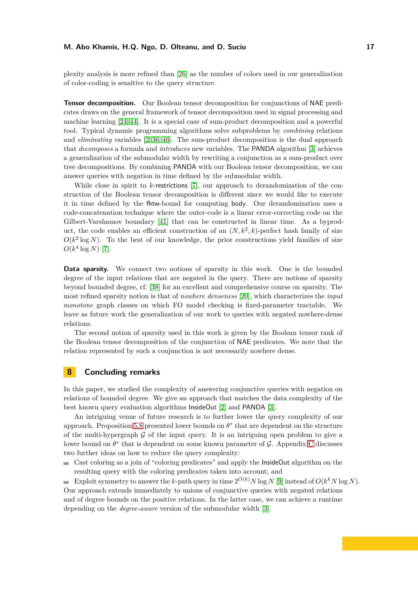plexity analysis is more refined than [\[26\]](#page-18-9) as the number of colors used in our generalization of color-coding is sensitive to the query structure.

**Tensor decomposition.** Our Boolean tensor decomposition for conjunctions of NAE predicates draws on the general framework of tensor decomposition used in signal processing and machine learning [\[24,](#page-18-12) [44\]](#page-18-13). It is a special case of sum-product decomposition and a powerful tool. Typical dynamic programming algorithms solve subproblems by *combining* relations and *eliminating* variables [\[2,](#page-17-0) [36,](#page-18-14) [46\]](#page-18-0). The sum-product decomposition is the dual approach that *decomposes* a formula and *introduces* new variables. The PANDA algorithm [\[3\]](#page-17-1) achieves a generalization of the submodular width by rewriting a conjunction as a sum-product over tree decompositions. By combining PANDA with our Boolean tensor decomposition, we can answer queries with negation in time defined by the submodular width.

While close in spirit to *k*-restrictions [7], our approach to derandomization of the construction of the Boolean tensor decomposition is different since we would like to execute it in time defined by the fhtw-bound for computing body. Our derandomization uses a code-concatenation technique where the outer-code is a linear error-correcting code on the Gilbert-Varshamov boundary [41] that can be constructed in linear time. As a byproduct, the code enables an efficient construction of an  $(N, k^2, k)$ -perfect hash family of size  $O(k^2 \log N)$ . To the best of our knowledge, the prior constructions yield families of size  $O(k^4 \log N)$  [7].

**Data sparsity.** We connect two notions of sparsity in this work. One is the bounded degree of the input relations that are negated in the query. There are notions of sparsity beyond bounded degree, cf. [\[38\]](#page-18-15) for an excellent and comprehensive course on sparsity. The most refined sparsity notion is that of *nowhere denseness* [\[20\]](#page-17-7), which characterizes the *input monotone* graph classes on which FO model checking is fixed-parameter tractable. We leave as future work the generalization of our work to queries with negated nowhere-dense relations.

The second notion of sparsity used in this work is given by the Boolean tensor rank of the Boolean tensor decomposition of the conjunction of NAE predicates. We note that the relation represented by such a conjunction is not necessarily nowhere dense.

# **8 Concluding remarks**

In this paper, we studied the complexity of answering conjunctive queries with negation on relations of bounded degree. We give an approach that matches the data complexity of the best known query evaluation algorithms InsideOut [\[2\]](#page-17-0) and PANDA [\[3\]](#page-17-1).

An intriguing venue of future research is to further lower the query complexity of our approach. Proposition [5.8](#page-12-4) presented lower bounds on  $\theta^*$  that are dependent on the structure of the multi-hypergraph  $\mathcal G$  of the input query. It is an intriguing open problem to give a lower bound on  $\theta^*$  that is dependent on some known parameter of  $\mathcal{G}$ . Appendix [C](#page-29-0) discusses two further ideas on how to reduce the query complexity:

Cast coloring as a join of "coloring predicates" and apply the InsideOut algorithm on the resulting query with the coloring predicates taken into account; and

Exploit symmetry to answer the *k*-path query in time  $2^{O(k)}N \log N$  [9] instead of  $O(k^k N \log N)$ . Our approach extends immediately to unions of conjunctive queries with negated relations and of degree bounds on the positive relations. In the latter case, we can achieve a runtime depending on the *degree-aware* version of the submodular width [\[3\]](#page-17-1).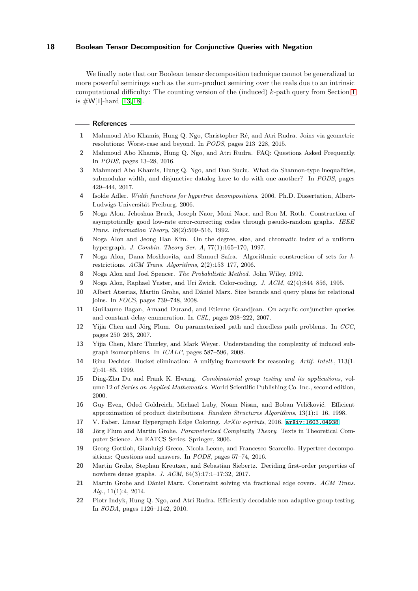We finally note that our Boolean tensor decomposition technique cannot be generalized to more powerful semirings such as the sum-product semiring over the reals due to an intrinsic computational difficulty: The counting version of the (induced) *k*-path query from Section [1](#page-0-2) is  $\#W[1]$ -hard [13, 18].

#### <span id="page-17-9"></span>**References**

- <span id="page-17-0"></span>**1** Mahmoud Abo Khamis, Hung Q. Ngo, Christopher Ré, and Atri Rudra. Joins via geometric resolutions: Worst-case and beyond. In *PODS*, pages 213–228, 2015.
- <span id="page-17-1"></span>**2** Mahmoud Abo Khamis, Hung Q. Ngo, and Atri Rudra. FAQ: Questions Asked Frequently. In *PODS*, pages 13–28, 2016.
- **3** Mahmoud Abo Khamis, Hung Q. Ngo, and Dan Suciu. What do Shannon-type inequalities, submodular width, and disjunctive datalog have to do with one another? In *PODS*, pages 429–444, 2017.
- <span id="page-17-11"></span>**4** Isolde Adler. *Width functions for hypertree decompositions*. 2006. Ph.D. Dissertation, Albert-Ludwigs-Universität Freiburg. 2006.
- **5** Noga Alon, Jehoshua Bruck, Joseph Naor, Moni Naor, and Ron M. Roth. Construction of asymptotically good low-rate error-correcting codes through pseudo-random graphs. *IEEE Trans. Information Theory*, 38(2):509–516, 1992.
- <span id="page-17-2"></span>**6** Noga Alon and Jeong Han Kim. On the degree, size, and chromatic index of a uniform hypergraph. *J. Combin. Theory Ser. A*, 77(1):165–170, 1997.
- **7** Noga Alon, Dana Moshkovitz, and Shmuel Safra. Algorithmic construction of sets for *k*restrictions. *ACM Trans. Algorithms*, 2(2):153–177, 2006.
- <span id="page-17-6"></span>**8** Noga Alon and Joel Spencer. *The Probabilistic Method*. John Wiley, 1992.
- <span id="page-17-10"></span>**9** Noga Alon, Raphael Yuster, and Uri Zwick. Color-coding. *J. ACM*, 42(4):844–856, 1995.
- <span id="page-17-4"></span>**10** Albert Atserias, Martin Grohe, and Dániel Marx. Size bounds and query plans for relational joins. In *FOCS*, pages 739–748, 2008.
- **11** Guillaume Bagan, Arnaud Durand, and Etienne Grandjean. On acyclic conjunctive queries and constant delay enumeration. In *CSL*, pages 208–222, 2007.
- **12** Yijia Chen and Jörg Flum. On parameterized path and chordless path problems. In *CCC*, pages 250–263, 2007.
- **13** Yijia Chen, Marc Thurley, and Mark Weyer. Understanding the complexity of induced subgraph isomorphisms. In *ICALP*, pages 587–596, 2008.
- **14** Rina Dechter. Bucket elimination: A unifying framework for reasoning. *Artif. Intell.*, 113(1- 2):41–85, 1999.
- <span id="page-17-5"></span>**15** Ding-Zhu Du and Frank K. Hwang. *Combinatorial group testing and its applications*, volume 12 of *Series on Applied Mathematics*. World Scientific Publishing Co. Inc., second edition, 2000.
- <span id="page-17-8"></span>**16** Guy Even, Oded Goldreich, Michael Luby, Noam Nisan, and Boban Veličković. Efficient approximation of product distributions. *Random Structures Algorithms*, 13(1):1–16, 1998.
- <span id="page-17-3"></span>**17** V. Faber. Linear Hypergraph Edge Coloring. *ArXiv e-prints*, 2016. [arXiv:1603.04938](http://arxiv.org/abs/1603.04938).
- **18** Jörg Flum and Martin Grohe. *Parameterized Complexity Theory*. Texts in Theoretical Computer Science. An EATCS Series. Springer, 2006.
- **19** Georg Gottlob, Gianluigi Greco, Nicola Leone, and Francesco Scarcello. Hypertree decompositions: Questions and answers. In *PODS*, pages 57–74, 2016.
- <span id="page-17-7"></span>**20** Martin Grohe, Stephan Kreutzer, and Sebastian Siebertz. Deciding first-order properties of nowhere dense graphs. *J. ACM*, 64(3):17:1–17:32, 2017.
- **21** Martin Grohe and Dániel Marx. Constraint solving via fractional edge covers. *ACM Trans. Alg.*, 11(1):4, 2014.
- **22** Piotr Indyk, Hung Q. Ngo, and Atri Rudra. Efficiently decodable non-adaptive group testing. In *SODA*, pages 1126–1142, 2010.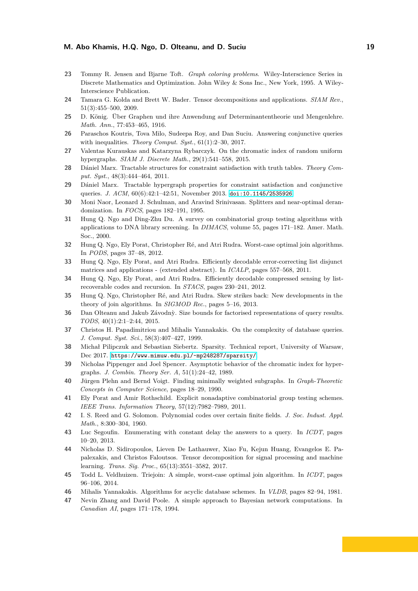- <span id="page-18-3"></span>**23** Tommy R. Jensen and Bjarne Toft. *Graph coloring problems*. Wiley-Interscience Series in Discrete Mathematics and Optimization. John Wiley & Sons Inc., New York, 1995. A Wiley-Interscience Publication.
- <span id="page-18-12"></span><span id="page-18-4"></span>**24** Tamara G. Kolda and Brett W. Bader. Tensor decompositions and applications. *SIAM Rev.*, 51(3):455–500, 2009.
- <span id="page-18-9"></span>**25** D. König. Über Graphen und ihre Anwendung auf Determinantentheorie und Mengenlehre. *Math. Ann.*, 77:453–465, 1916.
- <span id="page-18-5"></span>**26** Paraschos Koutris, Tova Milo, Sudeepa Roy, and Dan Suciu. Answering conjunctive queries with inequalities. *Theory Comput. Syst.*, 61(1):2–30, 2017.
- **27** Valentas Kurauskas and Katarzyna Rybarczyk. On the chromatic index of random uniform hypergraphs. *SIAM J. Discrete Math.*, 29(1):541–558, 2015.
- <span id="page-18-2"></span>**28** Dániel Marx. Tractable structures for constraint satisfaction with truth tables. *Theory Comput. Syst.*, 48(3):444–464, 2011.
- **29** Dániel Marx. Tractable hypergraph properties for constraint satisfaction and conjunctive queries. *J. ACM*, 60(6):42:1–42:51, November 2013. [doi:10.1145/2535926](http://dx.doi.org/10.1145/2535926).
- <span id="page-18-8"></span>**30** Moni Naor, Leonard J. Schulman, and Aravind Srinivasan. Splitters and near-optimal derandomization. In *FOCS*, pages 182–191, 1995.
- **31** Hung Q. Ngo and Ding-Zhu Du. A survey on combinatorial group testing algorithms with applications to DNA library screening. In *DIMACS*, volume 55, pages 171–182. Amer. Math. Soc., 2000.
- <span id="page-18-17"></span>**32** Hung Q. Ngo, Ely Porat, Christopher Ré, and Atri Rudra. Worst-case optimal join algorithms. In *PODS*, pages 37–48, 2012.
- **33** Hung Q. Ngo, Ely Porat, and Atri Rudra. Efficiently decodable error-correcting list disjunct matrices and applications - (extended abstract). In *ICALP*, pages 557–568, 2011.
- <span id="page-18-11"></span>**34** Hung Q. Ngo, Ely Porat, and Atri Rudra. Efficiently decodable compressed sensing by listrecoverable codes and recursion. In *STACS*, pages 230–241, 2012.
- **35** Hung Q. Ngo, Christopher Ré, and Atri Rudra. Skew strikes back: New developments in the theory of join algorithms. In *SIGMOD Rec.*, pages 5–16, 2013.
- <span id="page-18-14"></span>**36** Dan Olteanu and Jakub Závodnỳ. Size bounds for factorised representations of query results. *TODS*, 40(1):2:1–2:44, 2015.
- <span id="page-18-10"></span>**37** Christos H. Papadimitriou and Mihalis Yannakakis. On the complexity of database queries. *J. Comput. Syst. Sci.*, 58(3):407–427, 1999.
- <span id="page-18-15"></span>**38** Michał Pilipczuk and Sebastian Siebertz. Sparsity. Technical report, University of Warsaw, Dec 2017. <https://www.mimuw.edu.pl/~mp248287/sparsity/>.
- <span id="page-18-6"></span>**39** Nicholas Pippenger and Joel Spencer. Asymptotic behavior of the chromatic index for hypergraphs. *J. Combin. Theory Ser. A*, 51(1):24–42, 1989.
- <span id="page-18-1"></span>**40** Jürgen Plehn and Bernd Voigt. Finding minimally weighted subgraphs. In *Graph-Theoretic Concepts in Computer Science*, pages 18–29, 1990.
- **41** Ely Porat and Amir Rothschild. Explicit nonadaptive combinatorial group testing schemes. *IEEE Trans. Information Theory*, 57(12):7982–7989, 2011.
- <span id="page-18-19"></span>**42** I. S. Reed and G. Solomon. Polynomial codes over certain finite fields. *J. Soc. Indust. Appl. Math.*, 8:300–304, 1960.
- <span id="page-18-7"></span>**43** Luc Segoufin. Enumerating with constant delay the answers to a query. In *ICDT*, pages 10–20, 2013.
- <span id="page-18-13"></span>**44** Nicholas D. Sidiropoulos, Lieven De Lathauwer, Xiao Fu, Kejun Huang, Evangelos E. Papalexakis, and Christos Faloutsos. Tensor decomposition for signal processing and machine learning. *Trans. Sig. Proc.*, 65(13):3551–3582, 2017.
- <span id="page-18-18"></span>**45** Todd L. Veldhuizen. Triejoin: A simple, worst-case optimal join algorithm. In *ICDT*, pages 96–106, 2014.
- <span id="page-18-16"></span><span id="page-18-0"></span>**46** Mihalis Yannakakis. Algorithms for acyclic database schemes. In *VLDB*, pages 82–94, 1981.
- **47** Nevin Zhang and David Poole. A simple approach to Bayesian network computations. In *Canadian AI*, pages 171–178, 1994.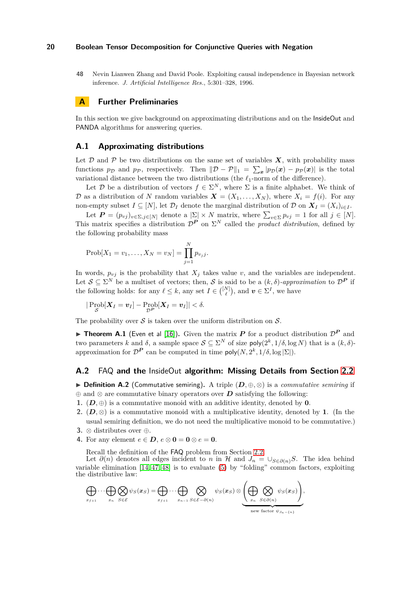<span id="page-19-0"></span>**48** Nevin Lianwen Zhang and David Poole. Exploiting causal independence in Bayesian network inference. *J. Artificial Intelligence Res.*, 5:301–328, 1996.

# **A Further Preliminaries**

In this section we give background on approximating distributions and on the InsideOut and PANDA algorithms for answering queries.

### <span id="page-19-2"></span>**A.1 Approximating distributions**

Let  $D$  and  $P$  be two distributions on the same set of variables  $X$ , with probability mass functions  $p_{\mathcal{D}}$  and  $p_{\mathcal{P}}$ , respectively. Then  $\|\mathcal{D} - \mathcal{P}\|_1 = \sum_{\mathbf{x}} |p_{\mathcal{D}}(\mathbf{x}) - p_{\mathcal{P}}(\mathbf{x})|$  is the total variational distance between the two distributions (the *ℓ*1-norm of the difference).

Let D be a distribution of vectors  $f \in \Sigma^N$ , where  $\Sigma$  is a finite alphabet. We think of D as a distribution of N random variables  $\mathbf{X} = (X_1, \ldots, X_N)$ , where  $X_i = f(i)$ . For any non-empty subset  $I \subseteq [N]$ , let  $\mathcal{D}_I$  denote the marginal distribution of  $\mathcal{D}$  on  $\mathbf{X}_I = (X_i)_{i \in I}$ .

Let  $P = (p_{vj})_{v \in \Sigma, j \in [N]}$  denote a  $|\Sigma| \times N$  matrix, where  $\sum_{v \in \Sigma} p_{vj} = 1$  for all  $j \in [N]$ . This matrix specifies a distribution  $\mathcal{D}^{\mathbf{P}}$  on  $\Sigma^N$  called the *product distribution*, defined by the following probability mass

$$
Prob[X_1 = v_1, ..., X_N = v_N] = \prod_{j=1}^{N} p_{v_j j}.
$$

In words,  $p_{vi}$  is the probability that  $X_i$  takes value v, and the variables are independent. Let  $\mathcal{S} \subseteq \Sigma^N$  be a multiset of vectors; then,  $\mathcal{S}$  is said to be a  $(k, \delta)$ *-approximation* to  $\mathcal{D}^P$  if the following holds: for any  $\ell \leq k$ , any set  $I \in \binom{[N]}{\ell}$ , and  $\boldsymbol{v} \in \Sigma^I$ , we have

$$
|\operatorname{Prob}_\mathcal{S}[X_I = v_I] - \operatorname{Prob}_{\mathcal{D}^P}[X_I = v_I]| < \delta.
$$

<span id="page-19-3"></span>The probability over  $S$  is taken over the uniform distribution on  $S$ .

**Theorem A.1** (Even et al [\[16\]](#page-17-8)). Given the matrix  $P$  for a product distribution  $D^P$  and two parameters *k* and  $\delta$ , a sample space  $S \subseteq \Sigma^N$  of size  $\text{poly}(2^k, 1/\delta, \log N)$  that is a  $(k, \delta)$ approximation for  $\mathcal{D}^{\mathbf{P}}$  can be computed in time  $\mathsf{poly}(N, 2^k, 1/\delta, \log |\Sigma|)$ .

#### <span id="page-19-1"></span>**A.2** FAQ **and the** InsideOut **algorithm: Missing Details from Section [2.2](#page-4-2)**

◮ **Definition A.2** (Commutative semiring)**.** A triple (*D,* <sup>⊕</sup>*,* <sup>⊗</sup>) is a *commutative semiring* if ⊕ and ⊗ are commutative binary operators over *D* satisfying the following:

- **1.**  $(D, \oplus)$  is a commutative monoid with an additive identity, denoted by **0**.
- **2.**  $(D, \otimes)$  is a commutative monoid with a multiplicative identity, denoted by **1**. (In the usual semiring definition, we do not need the multiplicative monoid to be commutative.)
- **3.** ⊗ distributes over ⊕.
- **4.** For any element  $e \in D$ ,  $e \otimes 0 = 0 \otimes e = 0$ .

Recall the definition of the FAQ problem from Section [2.2.](#page-4-2)

Let  $\partial(n)$  denotes all edges incident to *n* in H and  $J_n = \bigcup_{S \in \partial(n)} S$ . The idea behind variable elimination  $[14, 47, 48]$  $[14, 47, 48]$  $[14, 47, 48]$  is to evaluate  $(5)$  by "folding" common factors, exploiting the distributive law:

$$
\bigoplus_{x_{f+1}} \cdots \bigoplus_{x_n} \bigotimes_{S \in \mathcal{E}} \psi_S(x_S) = \bigoplus_{x_{f+1}} \cdots \bigoplus_{x_{n-1}} \bigotimes_{S \in \mathcal{E} - \partial(n)} \psi_S(x_S) \otimes \underbrace{\left(\bigoplus_{x_n} \bigotimes_{S \in \partial(n)} \psi_S(x_S)\right)}_{\text{new factor } \psi_{J_n - \{n\}}},
$$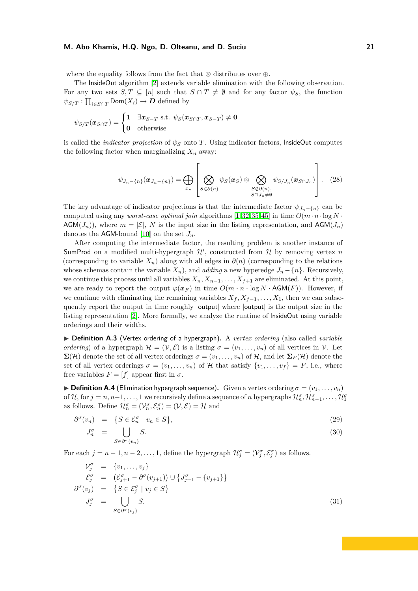where the equality follows from the fact that  $\otimes$  distributes over  $\oplus$ .

The InsideOut algorithm [\[2\]](#page-17-0) extends variable elimination with the following observation. For any two sets  $S, T \subseteq [n]$  such that  $S \cap T \neq \emptyset$  and for any factor  $\psi_S$ , the function  $\psi_{S/T} : \prod_{i \in S \cap T} \mathsf{Dom}(X_i) \to \mathcal{D}$  defined by

$$
\psi_{S/T}(\boldsymbol{x}_{S\cap T}) = \begin{cases} 1 & \exists \boldsymbol{x}_{S-T} \text{ s.t. } \psi_S(\boldsymbol{x}_{S\cap T}, \boldsymbol{x}_{S-T}) \neq \mathbf{0} \\ \mathbf{0} & \text{otherwise} \end{cases}
$$

is called the *indicator projection* of *ψ<sup>S</sup>* onto *T* . Using indicator factors, InsideOut computes the following factor when marginalizing  $X_n$  away:

$$
\psi_{J_n-\{n\}}(\boldsymbol{x}_{J_n-\{n\}}) = \bigoplus_{x_n} \left[ \bigotimes_{S \in \partial(n)} \psi_S(\boldsymbol{x}_S) \otimes \bigotimes_{\substack{S \notin \partial(n),\\S \cap J_n \neq \emptyset}} \psi_{S/J_n}(\boldsymbol{x}_{S \cap J_n}) \right]. \tag{28}
$$

The key advantage of indicator projections is that the intermediate factor  $\psi_{J_n-\{n\}}$  can be computed using any *worst-case optimal join* algorithms [\[1,](#page-17-9)[32,](#page-18-17)[35,](#page-18-11)[45\]](#page-18-18) in time  $O(m \cdot n \cdot \log N \cdot$ AGM $(J_n)$ , where  $m = |\mathcal{E}|$ , N is the input size in the listing representation, and AGM $(J_n)$ denotes the AGM-bound [\[10\]](#page-17-10) on the set  $J_n$ .

After computing the intermediate factor, the resulting problem is another instance of SumProd on a modified multi-hypergraph  $\mathcal{H}'$ , constructed from  $\mathcal{H}$  by removing vertex  $n$ (corresponding to variable  $X_n$ ) along with all edges in  $\partial(n)$  (corresponding to the relations whose schemas contain the variable  $X_n$ ), and *adding* a new hyperedge  $J_n - \{n\}$ . Recursively, we continue this process until all variables  $X_n, X_{n-1}, \ldots, X_{f+1}$  are eliminated. At this point, we are ready to report the output  $\varphi(\boldsymbol{x}_F)$  in time  $O(m \cdot n \cdot \log N \cdot \text{AGM}(F))$ . However, if we continue with eliminating the remaining variables  $X_f, X_{f-1}, \ldots, X_1$ , then we can subsequently report the output in time roughly |output| where |output| is the output size in the listing representation [\[2\]](#page-17-0). More formally, we analyze the runtime of InsideOut using variable orderings and their widths.

▶ **Definition A.3** (Vertex ordering of a hypergraph). A *vertex ordering* (also called *variable ordering*) of a hypergraph  $\mathcal{H} = (\mathcal{V}, \mathcal{E})$  is a listing  $\sigma = (v_1, \dots, v_n)$  of all vertices in  $\mathcal{V}$ . Let  $\Sigma(\mathcal{H})$  denote the set of all vertex orderings  $\sigma = (v_1, \ldots, v_n)$  of  $\mathcal{H}$ , and let  $\Sigma_F(\mathcal{H})$  denote the set of all vertex orderings  $\sigma = (v_1, \ldots, v_n)$  of H that satisfy  $\{v_1, \ldots, v_f\} = F$ , i.e., where free variables  $F = [f]$  appear first in  $\sigma$ .

 $\triangleright$  **Definition A.4** (Elimination hypergraph sequence). Given a vertex ordering  $\sigma = (v_1, \ldots, v_n)$ of H, for  $j = n, n-1, \ldots, 1$  we recursively define a sequence of *n* hypergraphs  $\mathcal{H}_n^{\sigma}, \mathcal{H}_{n-1}^{\sigma}, \ldots, \mathcal{H}_1^{\sigma}$ as follows. Define  $\mathcal{H}_n^{\sigma} = (\mathcal{V}_n^{\sigma}, \mathcal{E}_n^{\sigma}) = (\mathcal{V}, \mathcal{E}) = \mathcal{H}$  and

<span id="page-20-0"></span>
$$
\partial^{\sigma}(v_n) = \{ S \in \mathcal{E}_n^{\sigma} \mid v_n \in S \},\tag{29}
$$

$$
J_n^{\sigma} = \bigcup_{S \in \partial^{\sigma}(v_n)} S. \tag{30}
$$

For each  $j = n - 1, n - 2, \ldots, 1$ , define the hypergraph  $\mathcal{H}_j^{\sigma} = (\mathcal{V}_j^{\sigma}, \mathcal{E}_j^{\sigma})$  as follows.

<span id="page-20-1"></span>
$$
\mathcal{V}_j^{\sigma} = \{v_1, \dots, v_j\}
$$
  
\n
$$
\mathcal{E}_j^{\sigma} = (\mathcal{E}_{j+1}^{\sigma} - \partial^{\sigma}(v_{j+1})) \cup \{J_{j+1}^{\sigma} - \{v_{j+1}\}\}
$$
  
\n
$$
\partial^{\sigma}(v_j) = \{S \in \mathcal{E}_j^{\sigma} \mid v_j \in S\}
$$
  
\n
$$
J_j^{\sigma} = \bigcup_{S \in \partial^{\sigma}(v_j)} S.
$$
\n(31)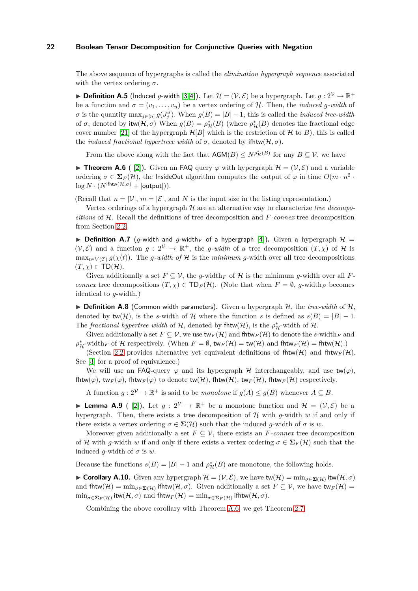The above sequence of hypergraphs is called the *elimination hypergraph sequence* associated with the vertex ordering *σ*.

<span id="page-21-3"></span>▶ **Definition A.5** (Induced *g*-width [\[3,](#page-17-1)[4\]](#page-17-11)). Let  $\mathcal{H} = (\mathcal{V}, \mathcal{E})$  be a hypergraph. Let  $g: 2^{\mathcal{V}} \to \mathbb{R}^+$ be a function and  $\sigma = (v_1, \ldots, v_n)$  be a vertex ordering of H. Then, the *induced q-width* of *σ* is the quantity  $\max_{j \in [n]} g(J_j^{\sigma})$ . When  $g(B) = |B| - 1$ , this is called the *induced tree-width* of  $\sigma$ , denoted by  $\text{itw}(\mathcal{H}, \sigma)$  When  $g(B) = \rho^*_{\mathcal{H}}(B)$  (where  $\rho^*_{\mathcal{H}}(B)$  denotes the fractional edge cover number [21] of the hypergraph  $\mathcal{H}[B]$  which is the restriction of  $\mathcal H$  to  $B$ ), this is called the *induced fractional hypertreee width* of  $\sigma$ , denoted by ifhtw( $H, \sigma$ ).

<span id="page-21-0"></span>From the above along with the fact that  $AGM(B) \leq N^{\rho^*_{\mathcal{H}}(B)}$  for any  $B \subseteq \mathcal{V}$ , we have

**► Theorem A.6** ( [\[2\]](#page-17-0)). Given an FAQ query  $\varphi$  with hypergraph  $\mathcal{H} = (\mathcal{V}, \mathcal{E})$  and a variable ordering  $\sigma \in \Sigma_F(\mathcal{H})$ , the InsideOut algorithm computes the output of  $\varphi$  in time  $O(m \cdot n^2 \cdot$  $\log N \cdot (N^{\text{ifhtw}(\mathcal{H}, \sigma)} + |\text{output}|)).$ 

(Recall that  $n = |\mathcal{V}|$ ,  $m = |\mathcal{E}|$ , and N is the input size in the listing representation.)

Vertex orderings of a hypergraph H are an alternative way to characterize *tree decompositions* of H. Recall the definitions of tree decomposition and *F-connex* tree decomposition from Section [2.2.](#page-4-2)

<span id="page-21-1"></span> $\triangleright$  **Definition A.7** (*g*-width and *g*-width *F* of a hypergraph [\[4\]](#page-17-11)). Given a hypergraph  $\mathcal{H}$  =  $(V, \mathcal{E})$  and a function  $g : 2^{\mathcal{V}} \to \mathbb{R}^+$ , the *g-width* of a tree decomposition  $(T, \chi)$  of H is  $\max_{t \in V(T)} q(\chi(t))$ . The *q-width of* H is the *minimum q*-width over all tree decompositions  $(T, \chi) \in TD(\mathcal{H}).$ 

Given additionally a set  $F \subseteq V$ , the *g*-width *F* of H is the minimum *g*-width over all F*connex* tree decompositions  $(T, \chi) \in \text{TD}_F(\mathcal{H})$ . (Note that when  $F = \emptyset$ , *g*-width<sub>F</sub> becomes identical to *g*-width.)

<span id="page-21-2"></span> $\triangleright$  **Definition A.8** (Common width parameters). Given a hypergraph H, the *tree-width* of H, denoted by  $\text{tw}(\mathcal{H})$ , is the *s*-width of H where the function *s* is defined as  $s(B) = |B| - 1$ . The *fractional hypertree width* of  $H$ , denoted by fhtw( $H$ ), is the  $\rho^*_{H}$ -width of  $H$ .

Given additionally a set  $F \subseteq V$ , we use  $\text{tw}_F(\mathcal{H})$  and  $\text{fhtw}_F(\mathcal{H})$  to denote the *s*-width  $F$  and  $\rho^*_{\mathcal{H}}$ -width<sub>*F*</sub> of  $\mathcal H$  respectively. (When  $F = \emptyset$ , tw $F(\mathcal{H}) =$ tw $(\mathcal{H})$  and fhtw $F(\mathcal{H}) =$ fhtw $(\mathcal{H})$ .)

(Section [2.2](#page-4-2) provides alternative yet equivalent definitions of fhtw(H) and fhtw $_F(\mathcal{H})$ . See [\[3\]](#page-17-1) for a proof of equivalence.)

We will use an FAQ-query  $\varphi$  and its hypergraph H interchangeably, and use  $\mathsf{tw}(\varphi)$ , fhtw( $\varphi$ ), tw<sub>F</sub>( $\varphi$ ), fhtw<sub>F</sub>( $\varphi$ ) to denote tw(H), fhtw(H), tw<sub>F</sub>(H), fhtw<sub>F</sub>(H) respectively.

A function  $g: 2^{\mathcal{V}} \to \mathbb{R}^+$  is said to be *monotone* if  $g(A) \leq g(B)$  whenever  $A \subseteq B$ .

**Lemma A.9** ( [\[2\]](#page-17-0)). Let  $g: 2^{\mathcal{V}} \to \mathbb{R}^+$  be a monotone function and  $\mathcal{H} = (\mathcal{V}, \mathcal{E})$  be a hypergraph. Then, there exists a tree decomposition of  $\mathcal H$  with *g*-width *w* if and only if there exists a vertex ordering  $\sigma \in \Sigma(\mathcal{H})$  such that the induced *g*-width of  $\sigma$  is *w*.

Moreover given additionally a set  $F \subseteq V$ , there exists an *F-connex* tree decomposition of H with *g*-width *w* if and only if there exists a vertex ordering  $\sigma \in \Sigma_F(\mathcal{H})$  such that the induced *g*-width of  $\sigma$  is *w*.

Because the functions  $s(B) = |B| - 1$  and  $\rho^*_{\mathcal{H}}(B)$  are monotone, the following holds.

► Corollary A.10. Given any hypergraph  $\mathcal{H} = (\mathcal{V}, \mathcal{E})$ , we have tw $(\mathcal{H}) = \min_{\sigma \in \mathbf{\Sigma}(\mathcal{H})} i$ tw $(\mathcal{H}, \sigma)$ and  $f$ htw $(\mathcal{H}) = \min_{\sigma \in \Sigma(\mathcal{H})}$  ifhtw $(\mathcal{H}, \sigma)$ . Given additionally a set  $F \subseteq \mathcal{V}$ , we have tw $_F(\mathcal{H}) =$  $\min_{\sigma \in \mathbf{\Sigma}_F(\mathcal{H})} \text{itw}(\mathcal{H}, \sigma)$  and  $\text{fhtw}_F(\mathcal{H}) = \min_{\sigma \in \mathbf{\Sigma}_F(\mathcal{H})} \text{ifhtw}(\mathcal{H}, \sigma)$ .

Combining the above corollary with Theorem [A.6,](#page-21-0) we get Theorem [2.7.](#page-6-3)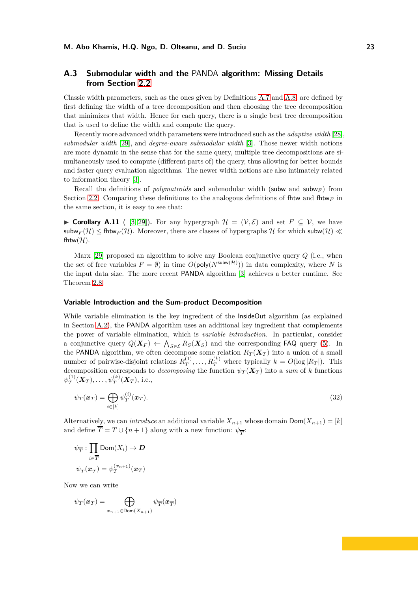# **A.3 Submodular width and the** PANDA **algorithm: Missing Details from Section [2.2](#page-4-2)**

Classic width parameters, such as the ones given by Definitions [A.7](#page-21-1) and [A.8,](#page-21-2) are defined by first defining the width of a tree decomposition and then choosing the tree decomposition that minimizes that width. Hence for each query, there is a single best tree decomposition that is used to define the width and compute the query.

Recently more advanced width parameters were introduced such as the *adaptive width* [28], *submodular width* [\[29\]](#page-18-2), and *degree-aware submodular width* [\[3\]](#page-17-1). Those newer width notions are more dynamic in the sense that for the same query, multiple tree decompositions are simultaneously used to compute (different parts of) the query, thus allowing for better bounds and faster query evaluation algorithms. The newer width notions are also intimately related to information theory [\[3\]](#page-17-1).

Recall the definitions of *polymatroids* and submodular width (subw and subw*<sup>F</sup>* ) from Section [2.2.](#page-4-2) Comparing these definitions to the analogous definitions of fit and fitural  $F$  in the same section, it is easy to see that:

► Corollary A.11 ( [\[3,](#page-17-1) [29\]](#page-18-2)). For any hypergraph  $\mathcal{H} = (\mathcal{V}, \mathcal{E})$  and set  $F \subset \mathcal{V}$ , we have subw<sub>F</sub>(H)  $\leq$  fhtw<sub>F</sub>(H). Moreover, there are classes of hypergraphs H for which subw(H)  $\ll$ fhtw $(\mathcal{H})$ .

Marx [\[29\]](#page-18-2) proposed an algorithm to solve any Boolean conjunctive query *Q* (i.e., when the set of free variables  $F = \emptyset$  in time  $O(\text{poly}(N^{\text{subw}(\mathcal{H})}))$  in data complexity, where N is the input data size. The more recent PANDA algorithm [\[3\]](#page-17-1) achieves a better runtime. See Theorem [2.8.](#page-6-4)

#### **Variable Introduction and the Sum-product Decomposition**

While variable elimination is the key ingredient of the InsideOut algorithm (as explained in Section [A.2\)](#page-19-1), the PANDA algorithm uses an additional key ingredient that complements the power of variable elimination, which is *variable introduction*. In particular, consider a conjunctive query  $Q(\boldsymbol{X}_F) \leftarrow \bigwedge_{S \in \mathcal{E}} R_S(\boldsymbol{X}_S)$  and the corresponding FAQ query [\(5\)](#page-5-1). In the PANDA algorithm, we often decompose some relation  $R_T(X_T)$  into a union of a small number of pairwise-disjoint relations  $R_T^{(1)}$  $T_T^{(1)}, \ldots, R_T^{(k)}$  where typically  $k = O(\log |R_T|)$ . This decomposition corresponds to *decomposing* the function  $\psi_T(\mathbf{X}_T)$  into a *sum* of *k* functions  $\psi_T^{(1)}$  $\psi_T^{(1)}(\boldsymbol{X}_T),\ldots,\psi_T^{(k)}(\boldsymbol{X}_T),$  i.e.,

<span id="page-22-0"></span>
$$
\psi_T(\boldsymbol{x}_T) = \bigoplus_{i \in [k]} \psi_T^{(i)}(\boldsymbol{x}_T). \tag{32}
$$

Alternatively, we can *introduce* an additional variable  $X_{n+1}$  whose domain  $Dom(X_{n+1}) = [k]$ and define  $T = T \cup \{n+1\}$  along with a new function:  $\psi_{\overline{T}}$ :

$$
\psi_{\overline{T}}: \prod_{i\in \overline{T}} \text{Dom}(X_i) \to \mathcal{\mathbf{D}}
$$
  

$$
\psi_{\overline{T}}(\mathbf{\mathbf{x}}_{\overline{T}}) = \psi_T^{(x_{n+1})}(\mathbf{\mathbf{x}}_T)
$$

Now we can write

$$
\psi_T(\pmb{x}_T) = \bigoplus_{x_{n+1} \in \text{Dom}(X_{n+1})} \psi_T(\pmb{x}_T)
$$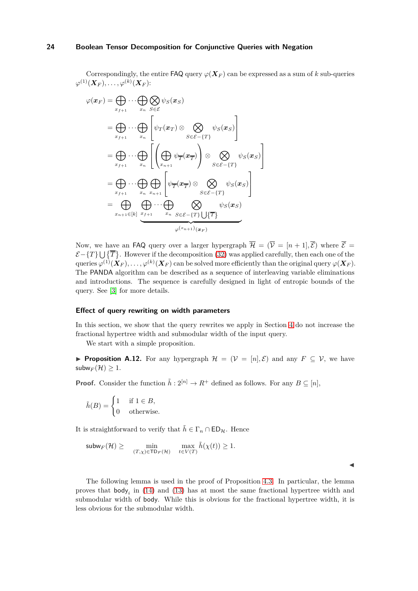Correspondingly, the entire FAQ query  $\varphi(X_F)$  can be expressed as a sum of *k* sub-queries  $\varphi^{(1)}(\boldsymbol{X}_{F}), \ldots, \varphi^{(k)}(\boldsymbol{X}_{F})$ :

$$
\varphi(\boldsymbol{x}_{F}) = \bigoplus_{x_{f+1}} \cdots \bigoplus_{x_{n}} \bigotimes_{S \in \mathcal{E}} \psi_{S}(\boldsymbol{x}_{S})
$$
\n
$$
= \bigoplus_{x_{f+1}} \cdots \bigoplus_{x_{n}} \left[ \psi_{T}(\boldsymbol{x}_{T}) \otimes \bigotimes_{S \in \mathcal{E} - \{T\}} \psi_{S}(\boldsymbol{x}_{S}) \right]
$$
\n
$$
= \bigoplus_{x_{f+1}} \cdots \bigoplus_{x_{n}} \left[ \left( \bigoplus_{x_{n+1}} \psi_{\overline{T}}(\boldsymbol{x}_{\overline{T}}) \right) \otimes \bigotimes_{S \in \mathcal{E} - \{T\}} \psi_{S}(\boldsymbol{x}_{S}) \right]
$$
\n
$$
= \bigoplus_{x_{f+1}} \cdots \bigoplus_{x_{n}} \bigoplus_{x_{n+1}} \left[ \psi_{\overline{T}}(\boldsymbol{x}_{\overline{T}}) \otimes \bigotimes_{S \in \mathcal{E} - \{T\}} \psi_{S}(\boldsymbol{x}_{S}) \right]
$$
\n
$$
= \bigoplus_{x_{n+1} \in [k]} \bigoplus_{x_{f+1}} \cdots \bigoplus_{x_{n}} \bigotimes_{S \in \mathcal{E} - \{T\}} \bigotimes_{\varphi(x_{n+1})} \psi_{S}(\boldsymbol{x}_{S})
$$
\n
$$
\varphi^{(x_{n+1})}(\boldsymbol{x}_{F})
$$

Now, we have an FAQ query over a larger hypergraph  $\overline{\mathcal{H}} = (\overline{\mathcal{V}} = [n+1], \overline{\mathcal{E}})$  where  $\overline{\mathcal{E}} =$  $\mathcal{E}-\{T\}\bigcup \{\overline{T}\}\.$  However if the decomposition [\(32\)](#page-22-0) was applied carefully, then each one of the  $_1$ queries  $\varphi^{(1)}(\bm{X}_F),\ldots,\varphi^{(k)}(\bm{X}_F)$  can be solved more efficiently than the original query  $\varphi(\bm{X}_F).$ The PANDA algorithm can be described as a sequence of interleaving variable eliminations and introductions. The sequence is carefully designed in light of entropic bounds of the query. See [\[3\]](#page-17-1) for more details.

#### **Effect of query rewriting on width parameters**

In this section, we show that the query rewrites we apply in Section [4](#page-8-0) do not increase the fractional hypertree width and submodular width of the input query.

<span id="page-23-1"></span>We start with a simple proposition.

▶ **Proposition A.12.** For any hypergraph  $\mathcal{H} = (\mathcal{V} = [n], \mathcal{E})$  and any  $F \subseteq \mathcal{V}$ , we have subw $_F(\mathcal{H}) \geq 1$ .

**Proof.** Consider the function  $\tilde{h}: 2^{[n]} \to R^+$  defined as follows. For any  $B \subseteq [n]$ ,

$$
\tilde{h}(B) = \begin{cases} 1 & \text{if } 1 \in B, \\ 0 & \text{otherwise.} \end{cases}
$$

It is straightforward to verify that  $\tilde{h} \in \Gamma_n \cap \mathsf{ED}_n$ . Hence

$$
\mathsf{subw}_F(\mathcal{H}) \ge \min_{(T,\chi) \in \mathsf{T} \mathsf{D}_F(\mathcal{H})} \max_{t \in V(T)} \tilde{h}(\chi(t)) \ge 1.
$$

◭

<span id="page-23-0"></span>The following lemma is used in the proof of Proposition [4.3.](#page-9-0) In particular, the lemma proves that body*<sup>i</sup>* in [\(14\)](#page-10-3) and [\(13\)](#page-9-0) has at most the same fractional hypertree width and submodular width of body. While this is obvious for the fractional hypertree width, it is less obvious for the submodular width.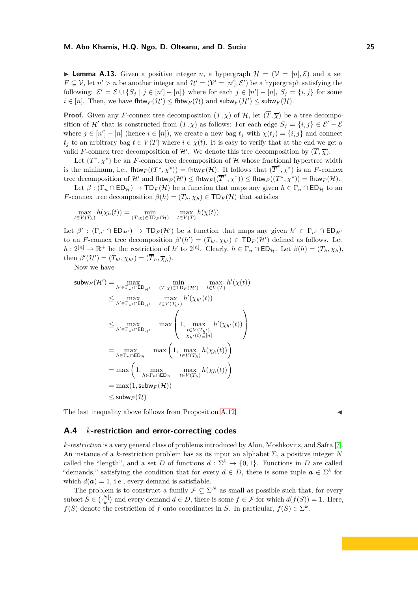**Lemma A.13.** Given a positive integer *n*, a hypergraph  $\mathcal{H} = (\mathcal{V} = [n], \mathcal{E})$  and a set  $F \subseteq V$ , let  $n' > n$  be another integer and  $\mathcal{H}' = (\mathcal{V}' = [n'], \mathcal{E}')$  be a hypergraph satisfying the following:  $\mathcal{E}' = \mathcal{E} \cup \{S_j \mid j \in [n'] - [n]\}$  where for each  $j \in [n'] - [n], S_j = \{i, j\}$  for some  $i \in [n]$ . Then, we have fhtw $F(\mathcal{H}') \leq$  fhtw $F(\mathcal{H})$  and  $\mathsf{subw}_F(\mathcal{H}') \leq \mathsf{subw}_F(\mathcal{H})$ .

**Proof.** Given any *F*-connex tree decomposition  $(T, \chi)$  of  $\mathcal{H}$ , let  $(\overline{T}, \overline{\chi})$  be a tree decomposition of  $\mathcal{H}'$  that is constructed from  $(T, \chi)$  as follows: For each edge  $S_j = \{i, j\} \in \mathcal{E}' - \mathcal{E}$ where  $j \in [n'] - [n]$  (hence  $i \in [n]$ ), we create a new bag  $t_j$  with  $\chi(t_j) = \{i, j\}$  and connect  $t_i$  to an arbitrary bag  $t \in V(T)$  where  $i \in \chi(t)$ . It is easy to verify that at the end we get a valid *F*-connex tree decomposition of  $\mathcal{H}'$ . We denote this tree decomposition by  $(\overline{T}, \overline{\chi})$ .

Let  $(T^*, \chi^*)$  be an *F*-connex tree decomposition of H whose fractional hypertree width is the minimum, i.e.,  $f$ htw $F((T^*, \chi^*))$  =  $f$ htw $F(\mathcal{H})$ . It follows that  $(\overline{T}^*, \overline{\chi}^*)$  is an *F*-connex tree decomposition of  $\mathcal{H}'$  and  $f$ htw $F(\mathcal{H}') \leq f$ htw $F((\overline{T}^*, \overline{\chi}^*)) \leq f$ htw $F((T^*, \chi^*)) = f$ htw $F(\mathcal{H})$ .

Let  $\beta$ :  $(\Gamma_n \cap \mathsf{ED}_\mathcal{H}) \to \mathsf{TD}_F(\mathcal{H})$  be a function that maps any given  $h \in \Gamma_n \cap \mathsf{ED}_\mathcal{H}$  to an *F*-connex tree decomposition  $\beta(h) = (T_h, \chi_h) \in \text{TD}_F(\mathcal{H})$  that satisfies

$$
\max_{t \in V(T_h)} h(\chi_h(t)) = \min_{(T,\chi) \in \mathsf{T} \mathsf{D}_F(\mathcal{H})} \max_{t \in V(T)} h(\chi(t)).
$$

Let  $\beta'$ :  $(\Gamma_{n'} \cap \mathsf{ED}_{\mathcal{H'}}) \to \mathsf{TD}_F(\mathcal{H'})$  be a function that maps any given  $h' \in \Gamma_{n'} \cap \mathsf{ED}_{\mathcal{H'}}$ to an *F*-connex tree decomposition  $\beta'(h') = (T_{h'}, \chi_{h'}) \in \text{TD}_F(\mathcal{H'})$  defined as follows. Let  $h: 2^{[n]} \to \mathbb{R}^+$  be the restriction of  $h'$  to  $2^{[n]}$ . Clearly,  $h \in \Gamma_n \cap \mathsf{ED}_{\mathcal{H}}$ . Let  $\beta(h) = (T_h, \chi_h)$ , then  $\beta'(\mathcal{H}') = (T_{h'}, \chi_{h'}) = (\overline{T}_h, \overline{\chi}_h).$ 

Now we have

$$
\text{subw}_F(\mathcal{H}') = \max_{h' \in \Gamma_{n'} \cap \text{ED}_{\mathcal{H}'}} \min_{(T,\chi) \in \text{TD}_F(\mathcal{H}')} \max_{t \in V(T)} h'(\chi(t))
$$
  
\n
$$
\leq \max_{h' \in \Gamma_{n'} \cap \text{ED}_{\mathcal{H}'}} \max_{t \in V(T_{h'})} h'(\chi_{h'}(t))
$$
  
\n
$$
\leq \max_{h' \in \Gamma_{n'} \cap \text{ED}_{\mathcal{H}'}} \max_{t \in V(T_{h'})} \left(1, \max_{t \in V(T_{h'})} h'(\chi_{h'}(t))\right)
$$
  
\n
$$
= \max_{h \in \Gamma_n \cap \text{ED}_{\mathcal{H}}} \max_{t \in V(T_h)} \left(1, \max_{t \in V(T_h)} h(\chi_h(t))\right)
$$
  
\n
$$
= \max_{h \in \Gamma_n \cap \text{ED}_{\mathcal{H}}} \max_{t \in V(T_h)} h(\chi_h(t))
$$
  
\n
$$
= \max(1, \text{subw}_F(\mathcal{H}))
$$
  
\n
$$
\leq \text{subw}_F(\mathcal{H})
$$

The last inequality above follows from Proposition [A.12.](#page-23-1)

#### <span id="page-24-0"></span>**A.4** *k***-restriction and error-correcting codes**

*k-restriction* is a very general class of problems introduced by Alon, Moshkovitz, and Safra [7]. An instance of a *k*-restriction problem has as its input an alphabet  $\Sigma$ , a positive integer *N* called the "length", and a set *D* of functions  $d : \Sigma^k \to \{0,1\}$ . Functions in *D* are called "demands," satisfying the condition that for every  $d \in D$ , there is some tuple  $\boldsymbol{a} \in \Sigma^k$  for which  $d(\mathbf{a}) = 1$ , i.e., every demand is satisfiable.

The problem is to construct a family  $\mathcal{F} \subseteq \Sigma^N$  as small as possible such that, for every subset  $S \in \binom{[N]}{k}$  and every demand  $d \in D$ , there is some  $f \in \mathcal{F}$  for which  $d(f(S)) = 1$ . Here, *f*(*S*) denote the restriction of *f* onto coordinates in *S*. In particular,  $f(S) \in \Sigma^k$ .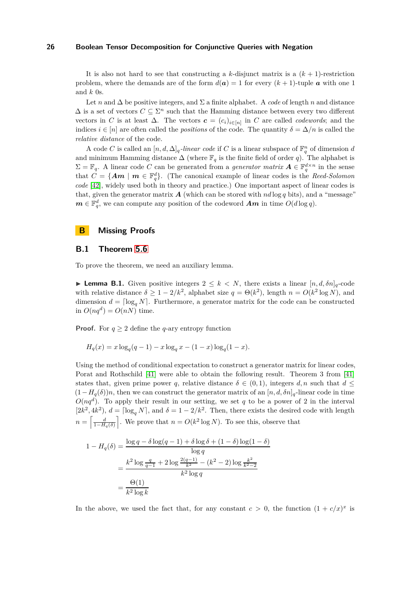It is also not hard to see that constructing a  $k$ -disjunct matrix is a  $(k + 1)$ -restriction problem, where the demands are of the form  $d(a) = 1$  for every  $(k + 1)$ -tuple *a* with one 1 and *k* 0s.

Let *n* and  $\Delta$  be positive integers, and  $\Sigma$  a finite alphabet. A *code* of length *n* and distance  $\Delta$  is a set of vectors  $C \subseteq \Sigma^n$  such that the Hamming distance between every two different vectors in *C* is at least  $\Delta$ . The vectors  $\mathbf{c} = (c_i)_{i \in [n]}$  in *C* are called *codewords*; and the indices  $i \in [n]$  are often called the *positions* of the code. The quantity  $\delta = \Delta/n$  is called the *relative distance* of the code.

A code *C* is called an  $[n, d, \Delta]_q$ *-linear code* if *C* is a linear subspace of  $\mathbb{F}_q^n$  of dimension *d* and minimum Hamming distance  $\Delta$  (where  $\mathbb{F}_q$  is the finite field of order *q*). The alphabet is  $\Sigma = \mathbb{F}_q$ . A linear code *C* can be generated from a *generator matrix*  $\mathbf{A} \in \mathbb{F}_q^{d \times n}$  in the sense that  $C = \{Am \mid m \in \mathbb{F}_q^d\}$ . (The canonical example of linear codes is the *Reed-Solomon code* [\[42\]](#page-18-19), widely used both in theory and practice.) One important aspect of linear codes is that, given the generator matrix  $\boldsymbol{A}$  (which can be stored with  $nd \log q$  bits), and a "message"  $m \in \mathbb{F}_q^d$ , we can compute any position of the codeword  $Am$  in time  $O(d \log q)$ .

# **B Missing Proofs**

# **B.1 Theorem [5.6](#page-12-1)**

<span id="page-25-0"></span>To prove the theorem, we need an auxiliary lemma.

**Lemma B.1.** Given positive integers  $2 \leq k \leq N$ , there exists a linear  $[n, d, \delta n]_q$ -code with relative distance  $\delta \geq 1 - 2/k^2$ , alphabet size  $q = \Theta(k^2)$ , length  $n = O(k^2 \log N)$ , and dimension  $d = \lceil \log_a N \rceil$ . Furthermore, a generator matrix for the code can be constructed in  $O(nq^d) = O(nN)$  time.

**Proof.** For  $q \geq 2$  define the *q*-ary entropy function

$$
H_q(x) = x \log_q(q-1) - x \log_q x - (1-x) \log_q(1-x).
$$

Using the method of conditional expectation to construct a generator matrix for linear codes, Porat and Rothschild [41] were able to obtain the following result. Theorem 3 from [41] states that, given prime power *q*, relative distance  $\delta \in (0,1)$ , integers *d, n* such that  $d \leq$  $(1-H_q(\delta))n$ , then we can construct the generator matrix of an  $[n, d, \delta n]_q$ -linear code in time  $O(nq^d)$ . To apply their result in our setting, we set *q* to be a power of 2 in the interval  $[2k^2, 4k^2)$ ,  $d = \lceil \log_q N \rceil$ , and  $\delta = 1 - 2/k^2$ . Then, there exists the desired code with length  $n = \left[\frac{d}{1-H_q(\delta)}\right]$ . We prove that  $n = O(k^2 \log N)$ . To see this, observe that

$$
1 - H_q(\delta) = \frac{\log q - \delta \log (q - 1) + \delta \log \delta + (1 - \delta) \log (1 - \delta)}{\log q}
$$
  
= 
$$
\frac{k^2 \log \frac{q}{q-1} + 2 \log \frac{2(q-1)}{k^2} - (k^2 - 2) \log \frac{k^2}{k^2 - 2}}{k^2 \log q}
$$
  
= 
$$
\frac{\Theta(1)}{k^2 \log k}
$$

In the above, we used the fact that, for any constant  $c > 0$ , the function  $(1 + c/x)^x$  is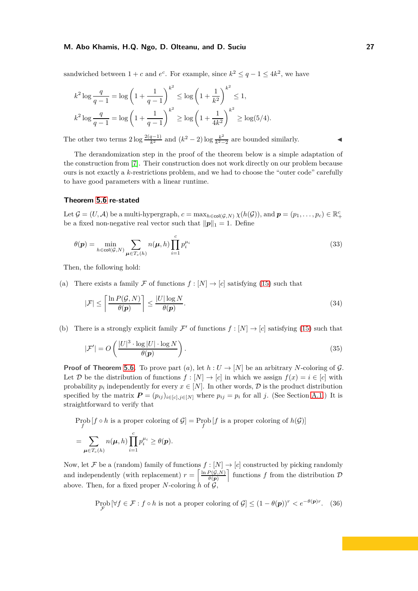sandwiched between  $1 + c$  and  $e^c$ . For example, since  $k^2 \le q - 1 \le 4k^2$ , we have

$$
k^2 \log \frac{q}{q-1} = \log \left(1 + \frac{1}{q-1}\right)^{k^2} \le \log \left(1 + \frac{1}{k^2}\right)^{k^2} \le 1,
$$
  

$$
k^2 \log \frac{q}{q-1} = \log \left(1 + \frac{1}{q-1}\right)^{k^2} \ge \log \left(1 + \frac{1}{4k^2}\right)^{k^2} \ge \log(5/4).
$$

The other two terms  $2 \log \frac{2(q-1)}{k^2}$  and  $(k^2 - 2) \log \frac{k^2}{k^2 - 1}$ *k*2−2 are bounded similarly. ◭

The derandomization step in the proof of the theorem below is a simple adaptation of the construction from [7]. Their construction does not work directly on our problem because ours is not exactly a *k*-restrictions problem, and we had to choose the "outer code" carefully to have good parameters with a linear runtime.

#### **Theorem [5.6](#page-12-1) re-stated**

Let  $\mathcal{G} = (U, \mathcal{A})$  be a multi-hypergraph,  $c = \max_{h \in \mathsf{col}(\mathcal{G}, N)} \chi(h(\mathcal{G}))$ , and  $\mathbf{p} = (p_1, \ldots, p_c) \in \mathbb{R}_+^c$ be a fixed non-negative real vector such that  $||p||_1 = 1$ . Define

$$
\theta(\mathbf{p}) = \min_{h \in \text{col}(\mathcal{G}, N)} \sum_{\mathbf{\mu} \in T_c(h)} n(\mathbf{\mu}, h) \prod_{i=1}^c p_i^{\mu_i}
$$
\n(33)

Then, the following hold:

(a) There exists a family F of functions  $f : [N] \to [c]$  satisfying [\(15\)](#page-10-4) such that

<span id="page-26-0"></span>
$$
|\mathcal{F}| \le \left\lceil \frac{\ln P(\mathcal{G}, N)}{\theta(\mathbf{p})} \right\rceil \le \frac{|U| \log N}{\theta(\mathbf{p})}.\tag{34}
$$

(b) There is a strongly explicit family  $\mathcal{F}'$  of functions  $f : [N] \to [c]$  satisfying [\(15\)](#page-10-4) such that

$$
|\mathcal{F}'| = O\left(\frac{|U|^3 \cdot \log|U| \cdot \log N}{\theta(\mathbf{p})}\right). \tag{35}
$$

**Proof of Theorem [5.6.](#page-12-1)** To prove part (*a*), let  $h: U \to [N]$  be an arbitrary *N*-coloring of G. Let D be the distribution of functions  $f : [N] \to [c]$  in which we assign  $f(x) = i \in [c]$  with probability  $p_i$  independently for every  $x \in [N]$ . In other words,  $\mathcal{D}$  is the product distribution specified by the matrix  $P = (p_{ij})_{i \in [c], j \in [N]}$  where  $p_{ij} = p_i$  for all *j*. (See Section [A.1.](#page-19-2)) It is straightforward to verify that

$$
\text{Prob}[f \circ h \text{ is a proper coloring of } \mathcal{G}] = \text{Prob}[f \text{ is a proper coloring of } h(\mathcal{G})]
$$
\n
$$
= \sum_{\mu \in T_c(h)} n(\mu, h) \prod_{i=1}^c p_i^{\mu_i} \ge \theta(p).
$$

Now, let F be a (random) family of functions  $f : [N] \to [c]$  constructed by picking randomly and independently (with replacement)  $r = \left[\frac{\ln P(G,N)}{\theta(n)}\right]$  $\left[\frac{P(\mathcal{G},N)}{\theta(\boldsymbol{p})}\right]$  functions *f* from the distribution  $\mathcal{D}$ above. Then, for a fixed proper  $N$ -coloring  $h$  of  $\mathcal{G}$ ,

$$
\operatorname{Prob}_{\mathcal{F}}\left[\forall f \in \mathcal{F} : f \circ h \text{ is not a proper coloring of } \mathcal{G}\right] \le (1 - \theta(\mathbf{p}))^r < e^{-\theta(\mathbf{p})r}. \tag{36}
$$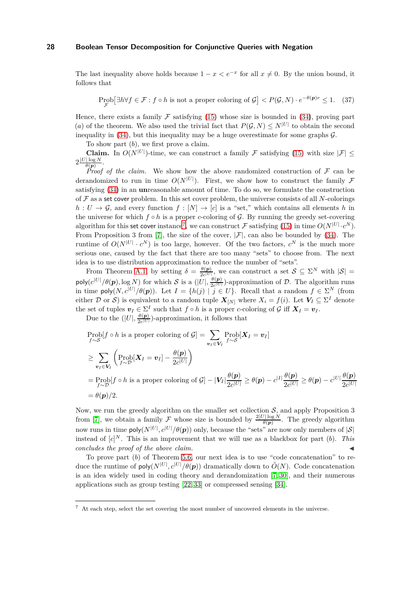The last inequality above holds because  $1 - x < e^{-x}$  for all  $x \neq 0$ . By the union bound, it follows that

$$
\operatorname{Prob}_{\mathcal{F}}[\exists h \forall f \in \mathcal{F} : f \circ h \text{ is not a proper coloring of } \mathcal{G}] < P(\mathcal{G}, N) \cdot e^{-\theta(\mathbf{p})r} \le 1. \tag{37}
$$

Hence, there exists a family  $\mathcal F$  satisfying [\(15\)](#page-10-4) whose size is bounded in [\(34\)](#page-26-0), proving part (*a*) of the theorem. We also used the trivial fact that  $P(G, N) \leq N^{|U|}$  to obtain the second inequality in  $(34)$ , but this inequality may be a huge overestimate for some graphs  $\mathcal{G}$ .

To show part (*b*), we first prove a claim.

**Claim.** In  $O(N^{|U|})$ -time, we can construct a family F satisfying [\(15\)](#page-10-4) with size  $|\mathcal{F}| \le$  $2\frac{|U|\log N}{\theta(n)}$  $\frac{|\log N}{\theta(\boldsymbol{p})}$ .

*Proof of the claim.* We show how the above randomized construction of  $\mathcal F$  can be derandomized to run in time  $O(N^{|U|})$ . First, we show how to construct the family  $\mathcal F$ satisfying [\(34\)](#page-26-0) in an **un**reasonable amount of time. To do so, we formulate the construction of F as a set cover problem. In this set cover problem, the universe consists of all *N*-colorings  $h: U \to \mathcal{G}$ , and every function  $f: [N] \to [c]$  is a "set," which contains all elements *h* in the universe for which  $f \circ h$  is a proper *c*-coloring of  $\mathcal{G}$ . By running the greedy set-covering algorithm for this set cover instance<sup>[7](#page-27-0)</sup>, we can construct  $\mathcal F$  satisfying [\(15\)](#page-10-4) in time  $O(N^{|U|} \cdot c^N)$ . From Proposition 3 from [7], the size of the cover,  $|\mathcal{F}|$ , can also be bounded by [\(34\)](#page-26-0). The runtime of  $O(N^{|U|} \cdot c^N)$  is too large, however. Of the two factors,  $c^N$  is the much more serious one, caused by the fact that there are too many "sets" to choose from. The next idea is to use distribution approximation to reduce the number of "sets".

From Theorem [A.1,](#page-19-3) by setting  $\delta = \frac{\theta(\mathbf{p})}{2e^{\mathcal{U}}}\mathbf{p}$  $\frac{\theta(\mathbf{p})}{2c^{|U|}},$  we can construct a set  $\mathcal{S} \subseteq \Sigma^N$  with  $|\mathcal{S}| =$  $p$ oly $(c^{|U|}/\theta(p), \log N)$  for which S is a  $(|U|, \frac{\theta(p)}{2c^{|U|}})$  $\frac{\partial(\mathbf{p})}{\partial c^{|U|}}$ -approximation of  $\mathcal{D}$ . The algorithm runs in time  $\text{poly}(N, c^{|U|}/\theta(p))$ . Let  $I = \{h(j) \mid j \in U\}$ . Recall that a random  $f \in \Sigma^N$  (from either D or S) is equivalent to a random tuple  $X_{[N]}$  where  $X_i = f(i)$ . Let  $V_I \subseteq \Sigma^I$  denote the set of tuples  $v_I \in \Sigma^I$  such that  $f \circ h$  is a proper *c*-coloring of  $\mathcal G$  iff  $X_I = v_I$ .

Due to the  $(|U|, \frac{\theta(\mathbf{p})}{2c^{|U|}})$  $\frac{\partial(\mathbf{p})}{\partial c^{|U|}}$ -approximation, it follows that

$$
\begin{aligned} &\text{Prob}[f \circ h \text{ is a proper coloring of } \mathcal{G}] = \sum_{\mathbf{v}_I \in \mathbf{V}_I} \text{Prob}[\mathbf{X}_I = \mathbf{v}_I] \\ &\geq \sum_{\mathbf{v}_I \in \mathbf{V}_I} \left( \text{Prob}[\mathbf{X}_I = \mathbf{v}_I] - \frac{\theta(\mathbf{p})}{2c^{|U|}} \right) \\ &= \text{Prob}[f \circ h \text{ is a proper coloring of } \mathcal{G}] - |V_I| \frac{\theta(\mathbf{p})}{2c^{|U|}} \geq \theta(\mathbf{p}) - c^{|I|} \frac{\theta(\mathbf{p})}{2c^{|U|}} \geq \theta(\mathbf{p}) - c^{|U|} \frac{\theta(\mathbf{p})}{2c^{|U|}} \\ &= \theta(\mathbf{p})/2. \end{aligned}
$$

Now, we run the greedy algorithm on the smaller set collection  $S$ , and apply Proposition 3 from [7], we obtain a family F whose size is bounded by  $\frac{2|U|\log N}{\theta(p)}$ . The greedy algorithm now runs in time  $\mathsf{poly}(N^{|U|}, c^{|U|}/\theta(\mathbf{p}))$  only, because the "sets" are now only members of  $|\mathcal{S}|$ instead of  $[c]^N$ . This is an improvement that we will use as a blackbox for part  $(b)$ . This *concludes the proof of the above claim.* 

To prove part (*b*) of Theorem [5.6,](#page-12-1) our next idea is to use "code concatenation" to reduce the runtime of  $\text{poly}(N^{|U|}, c^{|U|}/\theta(p))$  dramatically down to  $\tilde{O}(N)$ . Code concatenation is an idea widely used in coding theory and derandomization [7, 30], and their numerous applications such as group testing [22, 33] or compressed sensing [34].

<span id="page-27-0"></span><sup>7</sup> At each step, select the set covering the most number of uncovered elements in the universe.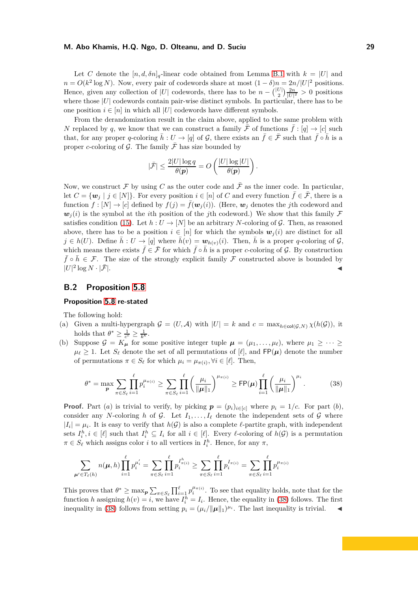Let *C* denote the  $[n, d, \delta n]_q$ -linear code obtained from Lemma [B.1](#page-25-0) with  $k = |U|$  and  $n = O(k^2 \log N)$ . Now, every pair of codewords share at most  $(1 - \delta)n = 2n/|U|^2$  positions. Hence, given any collection of |*U*| codewords, there has to be  $n - {U \choose 2} \frac{2n}{|U|^2} > 0$  positions where those |*U*| codewords contain pair-wise distinct symbols. In particular, there has to be one position  $i \in [n]$  in which all |*U*| codewords have different symbols.

From the derandomization result in the claim above, applied to the same problem with *N* replaced by *q*, we know that we can construct a family  $\bar{\mathcal{F}}$  of functions  $\bar{f}$  : [*q*]  $\rightarrow$  [*c*] such that, for any proper *q*-coloring  $\bar{h}: U \to [q]$  of G, there exists an  $\bar{f} \in \bar{\mathcal{F}}$  such that  $\bar{f} \circ \bar{h}$  is a proper *c*-coloring of G. The family  $\bar{\mathcal{F}}$  has size bounded by

$$
|\bar{\mathcal{F}}| \le \frac{2|U| \log q}{\theta(p)} = O\left(\frac{|U| \log |U|}{\theta(p)}\right).
$$

Now, we construct  $\mathcal F$  by using  $C$  as the outer code and  $\bar{\mathcal F}$  as the inner code. In particular, let  $C = \{w_j | j \in [N]\}\$ . For every position  $i \in [n]$  of *C* and every function  $\bar{f} \in \bar{\mathcal{F}}$ , there is a function  $f : [N] \to [c]$  defined by  $f(i) = \overline{f}(\mathbf{w}_i(i))$ . (Here,  $\mathbf{w}_i$  denotes the *j*th codeword and  $w_i(i)$  is the symbol at the *i*th position of the *j*th codeword.) We show that this family F satisfies condition [\(15\)](#page-10-4). Let  $h: U \to [N]$  be an arbitrary *N*-coloring of G. Then, as reasoned above, there has to be a position  $i \in [n]$  for which the symbols  $w_i(i)$  are distinct for all  $j \in h(U)$ . Define  $\bar{h}: U \to [q]$  where  $\bar{h}(v) = \mathbf{w}_{h(v)}(i)$ . Then,  $\bar{h}$  is a proper *q*-coloring of  $\mathcal{G},$ which means there exists  $\bar{f} \in \bar{\mathcal{F}}$  for which  $\bar{f} \circ \bar{h}$  is a proper *c*-coloring of G. By construction  $\bar{f} \circ \bar{h} \in \mathcal{F}$ . The size of the strongly explicit family F constructed above is bounded by  $|U|^2$  $\log N \cdot |\bar{\mathcal{F}}|$ .

# **B.2 Proposition [5.8](#page-12-4)**

#### **Proposition [5.8](#page-12-4) re-stated**

The following hold:

- (a) Given a multi-hypergraph  $\mathcal{G} = (U, \mathcal{A})$  with  $|U| = k$  and  $c = \max_{h \in \text{col}(\mathcal{G}, N)} \chi(h(\mathcal{G}))$ , it holds that  $\theta^* \geq \frac{1}{c^c} \geq \frac{1}{k^k}$ .
- (b) Suppose  $\mathcal{G} = K_{\mu}$  for some positive integer tuple  $\mu = (\mu_1, \dots, \mu_{\ell}),$  where  $\mu_1 \geq \dots \geq$  $\mu_{\ell} \geq 1$ . Let  $S_{\ell}$  denote the set of all permutations of [ $\ell$ ], and FP( $\mu$ ) denote the number of permutations  $\pi \in S_{\ell}$  for which  $\mu_i = \mu_{\pi(i)}, \forall i \in [\ell]$ . Then,

<span id="page-28-0"></span>
$$
\theta^* = \max_{\mathbf{p}} \sum_{\pi \in S_{\ell}} \prod_{i=1}^{\ell} p_i^{\mu_{\pi(i)}} \ge \sum_{\pi \in S_{\ell}} \prod_{i=1}^{\ell} \left( \frac{\mu_i}{\|\boldsymbol{\mu}\|_1} \right)^{\mu_{\pi(i)}} \ge \text{FP}(\boldsymbol{\mu}) \prod_{i=1}^{\ell} \left( \frac{\mu_i}{\|\boldsymbol{\mu}\|_1} \right)^{\mu_i}.
$$
 (38)

**Proof.** Part (*a*) is trivial to verify, by picking  $p = (p_i)_{i \in [c]}$  where  $p_i = 1/c$ . For part (*b*), consider any *N*-coloring *h* of G. Let  $I_1, \ldots, I_\ell$  denote the independent sets of G where  $|I_i| = \mu_i$ . It is easy to verify that  $h(\mathcal{G})$  is also a complete  $\ell$ -partite graph, with independent sets  $I_i^h, i \in [\ell]$  such that  $I_i^h \subseteq I_i$  for all  $i \in [\ell]$ . Every  $\ell$ -coloring of  $h(\mathcal{G})$  is a permutation  $\pi \in S_\ell$  which assigns color *i* to all vertices in  $I_i^h$ . Hence, for any  $\pi$ ,

$$
\sum_{\mu' \in T_{\ell}(h)} n(\mu, h) \prod_{i=1}^{\ell} p_i^{\mu'_i} = \sum_{\pi \in S_{\ell}} \prod_{i=1}^{\ell} p_i^{I_{\pi(i)}^h} \ge \sum_{\pi \in S_{\ell}} \prod_{i=1}^{\ell} p_i^{I_{\pi(i)}} = \sum_{\pi \in S_{\ell}} \prod_{i=1}^{\ell} p_i^{\mu_{\pi(i)}}
$$

This proves that  $\theta^* \ge \max_{p} \sum_{\pi \in S_{\ell}} \prod_{i=1}^{\ell} p_i^{\mu_{\pi(i)}}$ . To see that equality holds, note that for the function *h* assigning  $h(v) = i$ , we have  $I_i^h = I_i$ . Hence, the equality in [\(38\)](#page-28-0) follows. The first inequality in [\(38\)](#page-28-0) follows from setting  $p_i = (\mu_i / ||\mu||_1)^{\mu_i}$ . The last inequality is trivial.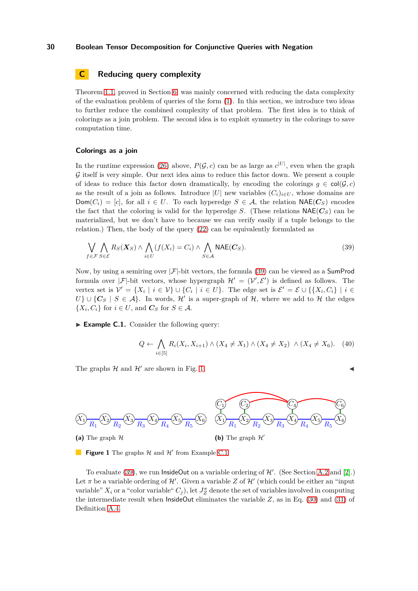# <span id="page-29-0"></span>**C** Reducing query complexity

Theorem [1.1,](#page-1-2) proved in Section [6,](#page-13-0) was mainly concerned with reducing the data complexity of the evaluation problem of queries of the form [\(1\)](#page-0-1). In this section, we introduce two ideas to further reduce the combined complexity of that problem. The first idea is to think of colorings as a join problem. The second idea is to exploit symmetry in the colorings to save computation time.

#### **Colorings as a join**

In the runtime expression [\(26\)](#page-14-0) above,  $P(\mathcal{G}, c)$  can be as large as  $c^{|U|}$ , even when the graph  $\mathcal G$  itself is very simple. Our next idea aims to reduce this factor down. We present a couple of ideas to reduce this factor down dramatically, by encoding the colorings  $g \in \text{col}(\mathcal{G}, c)$ as the result of a join as follows. Introduce  $|U|$  new variables  $(C_i)_{i\in U}$ , whose domains are  $Dom(C_i) = [c]$ , for all  $i \in U$ . To each hyperedge  $S \in \mathcal{A}$ , the relation  $NAE(C_S)$  encodes the fact that the coloring is valid for the hyperedge *S*. (These relations  $NAE(C<sub>S</sub>)$  can be materialized, but we don't have to because we can verify easily if a tuple belongs to the relation.) Then, the body of the query [\(22\)](#page-13-1) can be equivalently formulated as

$$
\bigvee_{f \in \mathcal{F}} \bigwedge_{S \in \mathcal{E}} R_S(X_S) \land \bigwedge_{i \in U} (f(X_i) = C_i) \land \bigwedge_{S \in \mathcal{A}} \mathsf{NAE}(C_S).
$$
\n(39)

Now, by using a semiring over  $|\mathcal{F}|$ -bit vectors, the formula [\(39\)](#page-29-1) can be viewed as a **SumProd** formula over  $|\mathcal{F}|$ -bit vectors, whose hypergraph  $\mathcal{H}' = (\mathcal{V}', \mathcal{E}')$  is defined as follows. The vertex set is  $\mathcal{V}' = \{X_i \mid i \in \mathcal{V}\} \cup \{C_i \mid i \in U\}$ . The edge set is  $\mathcal{E}' = \mathcal{E} \cup \{\{X_i, C_i\} \mid i \in \mathcal{V}\}$ *U*}∪{ $C_S$  |  $S \in \mathcal{A}$ }. In words,  $\mathcal{H}'$  is a super-graph of  $\mathcal{H}$ , where we add to  $\mathcal{H}$  the edges  $\{X_i, C_i\}$  for  $i \in U$ , and  $C_S$  for  $S \in \mathcal{A}$ .

► **Example C.1.** Consider the following query:

$$
Q \leftarrow \bigwedge_{i \in [5]} R_i(X_i, X_{i+1}) \land (X_4 \neq X_1) \land (X_4 \neq X_2) \land (X_4 \neq X_6). \tag{40}
$$

<span id="page-29-2"></span>The graphs  $\mathcal H$  and  $\mathcal H'$  are shown in Fig. [1.](#page-29-2)

<span id="page-29-3"></span><span id="page-29-1"></span>



**Figure 1** The graphs  $H$  and  $H'$  from Example [C.1.](#page-29-3)

<span id="page-29-4"></span>To evaluate [\(39\)](#page-29-1), we run  $\mathsf{InsideOut}$  on a variable ordering of  $\mathcal{H}'$ . (See Section [A.2](#page-19-1) and [\[2\]](#page-17-0).) Let  $\pi$  be a variable ordering of  $\mathcal{H}'$ . Given a variable  $Z$  of  $\mathcal{H}'$  (which could be either an "input variable"  $X_i$  or a "color variable"  $C_j$ ), let  $J_Z^{\pi}$  denote the set of variables involved in computing the intermediate result when  $\textsf{InsideOut}\$  eliminates the variable  $Z$ , as in Eq. [\(30\)](#page-20-0) and [\(31\)](#page-20-1) of Definition [A.4.](#page-20-1)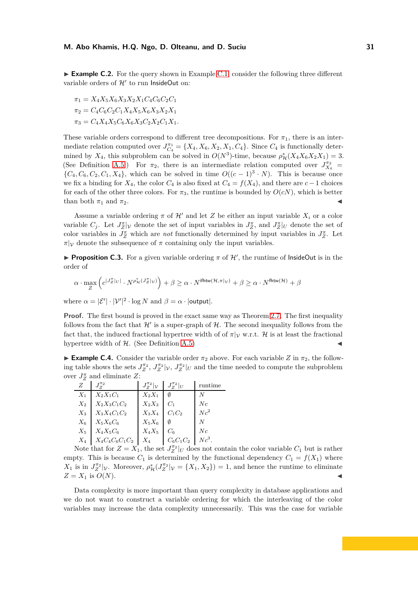► **Example C.2.** For the query shown in Example [C.1,](#page-29-3) consider the following three different variable orders of  $\mathcal{H}'$  to run InsideOut on:

$$
\pi_1 = X_4 X_5 X_6 X_3 X_2 X_1 C_4 C_6 C_2 C_1
$$
  
\n
$$
\pi_2 = C_4 C_6 C_2 C_1 X_4 X_5 X_6 X_3 X_2 X_1
$$
  
\n
$$
\pi_3 = C_4 X_4 X_5 C_6 X_6 X_3 C_2 X_2 C_1 X_1.
$$

These variable orders correspond to different tree decompositions. For  $\pi_1$ , there is an intermediate relation computed over  $J_{C_4}^{\pi_1} = \{X_4, X_6, X_2, X_1, C_4\}$ . Since  $C_4$  is functionally determined by  $X_4$ , this subproblem can be solved in  $O(N^3)$ -time, because  $\rho^*_{\mathcal{H}}(X_4X_6X_2X_1) = 3$ . (See Definition [A.5.](#page-21-3)) For  $\pi_2$ , there is an intermediate relation computed over  $J_{X_4}^{\pi_2}$  =  $\{C_4, C_6, C_2, C_1, X_4\}$ , which can be solved in time  $O((c-1)^3 \cdot N)$ . This is because once we fix a binding for  $X_4$ , the color  $C_4$  is also fixed at  $C_4 = f(X_4)$ , and there are  $c - 1$  choices for each of the other three colors. For  $\pi_3$ , the runtime is bounded by  $O(cN)$ , which is better than both  $\pi_1$  and  $\pi_2$ .

Assume a variable ordering  $\pi$  of  $\mathcal{H}'$  and let *Z* be either an input variable  $X_i$  or a color variable  $C_j$ . Let  $J_Z^{\pi}|\mathcal{V}$  denote the set of input variables in  $J_Z^{\pi}$ , and  $J_Z^{\pi}|_U$  denote the set of color variables in  $J_Z^{\pi}$  which are *not* functionally determined by input variables in  $J_Z^{\pi}$ . Let  $\pi|_{\mathcal{V}}$  denote the subsequence of  $\pi$  containing only the input variables.

<span id="page-30-0"></span>**Proposition C.3.** For a given variable ordering  $\pi$  of  $\mathcal{H}'$ , the runtime of InsideOut is in the order of

$$
\alpha \cdot \max_Z \left( c^{|J_Z^{\pi}|_{U}|} \cdot N^{\rho^{\ast}_{\mathcal{H}}(J_Z^{\pi}|_{\mathcal{V}})} \right) + \beta \geq \alpha \cdot N^{\mathsf{ifhtw}(\mathcal{H}, \pi|_{\mathcal{V}})} + \beta \geq \alpha \cdot N^{\mathsf{fhtw}(\mathcal{H})} + \beta
$$

where  $\alpha = |\mathcal{E}'| \cdot |\mathcal{V}'|^2 \cdot \log N$  and  $\beta = \alpha \cdot |\textsf{output}|$ .

**Proof.** The first bound is proved in the exact same way as Theorem [2.7.](#page-6-3) The first inequality follows from the fact that  $\mathcal{H}'$  is a super-graph of  $\mathcal{H}$ . The second inequality follows from the fact that, the induced fractional hypertree width of of  $\pi|_V$  w.r.t. H is at least the fractional hypertree width of  $H$ . (See Definition [A.5\)](#page-21-3)

**Example C.4.** Consider the variable order  $\pi_2$  above. For each variable *Z* in  $\pi_2$ , the following table shows the sets  $J_Z^{\pi_2}$ ,  $J_Z^{\pi_2}|_V$ ,  $J_Z^{\pi_2}|_U$  and the time needed to compute the subproblem over  $J_Z^{\pi}$  and eliminate  $Z$ :

|       |                   | $J^{\pi_2}_Z _{\mathcal{V}}$ | $J^{\pi_2}_{Z} _U$ | runtime  |
|-------|-------------------|------------------------------|--------------------|----------|
| $X_1$ | $X_2X_1C_1$       | $X_2X_1$                     |                    | N        |
| $X_2$ | $X_2X_3C_1C_2$    | $X_2X_3$                     | $C_1$              | $N_c$    |
| $X_3$ | $X_3X_4C_1C_2$    | $X_3X_4$                     | $C_1C_2$           | $Nc^2$   |
| $X_6$ | $X_5X_6C_6$       | $X_5X_6$                     |                    | N        |
| $X_5$ | $X_4X_5C_6$       | $X_4X_5$                     | $C_6$              | $N_c$    |
| $X_4$ | $X_4C_4C_6C_1C_2$ | $X_4$                        | $C_6C_1C_2$        | $Nc^3$ . |
|       |                   |                              |                    |          |

Note that for  $Z = X_1$ , the set  $J_Z^{\pi_2}|_U$  does not contain the color variable  $C_1$  but is rather empty. This is because  $C_1$  is determined by the functional dependency  $C_1 = f(X_1)$  where  $X_1$  is in  $J_Z^{\pi_2}|_V$ . Moreover,  $\rho^*_{\mathcal{H}}(J_Z^{\pi_2}|_V = \{X_1, X_2\}) = 1$ , and hence the runtime to eliminate  $Z = X_1$  is  $O(N)$ .

Data complexity is more important than query complexity in database applications and we do not want to construct a variable ordering for which the interleaving of the color variables may increase the data complexity unnecessarily. This was the case for variable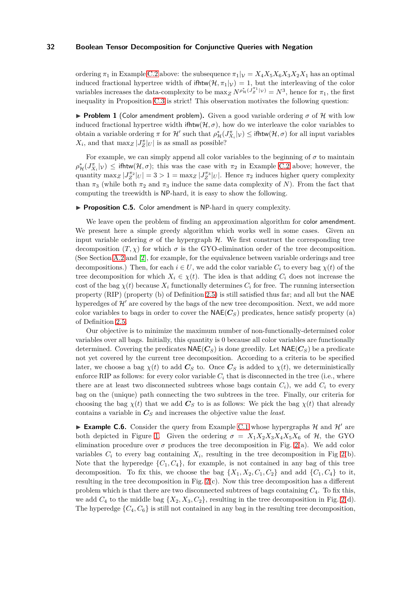ordering  $\pi_1$  in Example [C.2](#page-29-4) above: the subsequence  $\pi_1|_V = X_4 X_5 X_6 X_3 X_2 X_1$  has an optimal induced fractional hypertree width of ifhtw $(\mathcal{H}, \pi_1|_{\mathcal{V}}) = 1$ , but the interleaving of the color variables increases the data-complexity to be  $\max_{Z} N^{\rho_{\mathcal{H}}^*}(\hat{J}_Z^{\pi_1}|\nu) = N^3$ , hence for  $\pi_1$ , the first inequality in Proposition [C.3](#page-30-0) is strict! This observation motivates the following question:

**Problem 1** (Color amendment problem). Given a good variable ordering  $\sigma$  of H with low induced fractional hypertree width ifhtw( $H, \sigma$ ), how do we interleave the color variables to obtain a variable ordering  $\pi$  for  $\mathcal{H}'$  such that  $\rho^*_{\mathcal{H}}(J^{\pi}_{X_i}|\nu) \leq \text{ifhtw}(\mathcal{H},\sigma)$  for all input variables  $X_i$ , and that  $\max_Z |J^{\pi}_Z|_U|$  is as small as possible?

For example, we can simply append all color variables to the beginning of  $\sigma$  to maintain  $\rho^*_{\mathcal{H}}(J^{\pi}_{X_i}|\nu) \leq \text{ifhtw}(\mathcal{H}, \sigma)$ ; this was the case with  $\pi_2$  in Example [C.2](#page-29-4) above; however, the quantity  $\max_Z |J_Z^{\pi_2}|_U| = 3 > 1 = \max_Z |J_Z^{\pi_3}|_U|$ . Hence  $\pi_2$  induces higher query complexity than  $\pi_3$  (while both  $\pi_2$  and  $\pi_3$  induce the same data complexity of *N*). From the fact that computing the treewidth is NP-hard, it is easy to show the following.

#### ▶ **Proposition C.5.** Color amendment is NP-hard in query complexity.

We leave open the problem of finding an approximation algorithm for color amendment. We present here a simple greedy algorithm which works well in some cases. Given an input variable ordering  $\sigma$  of the hypergraph H. We first construct the corresponding tree decomposition  $(T, \chi)$  for which  $\sigma$  is the GYO-elimination order of the tree decomposition. (See Section [A.2](#page-19-1) and [\[2\]](#page-17-0), for example, for the equivalence between variable orderings and tree decompositions.) Then, for each  $i \in U$ , we add the color variable  $C_i$  to every bag  $\chi(t)$  of the tree decomposition for which  $X_i \in \chi(t)$ . The idea is that adding  $C_i$  does not increase the cost of the bag  $\chi(t)$  because  $X_i$  functionally determines  $C_i$  for free. The running intersection property (RIP) (property (b) of Definition [2.5\)](#page-5-2) is still satisfied thus far; and all but the NAE hyperedges of  $\mathcal{H}'$  are covered by the bags of the new tree decomposition. Next, we add more color variables to bags in order to cover the  $NAE(C<sub>S</sub>)$  predicates, hence satisfy property (a) of Definition [2.5.](#page-5-2)

Our objective is to minimize the maximum number of non-functionally-determined color variables over all bags. Initially, this quantity is 0 because all color variables are functionally determined. Covering the predicates  $NAE(C_S)$  is done greedily. Let  $NAE(C_S)$  be a predicate not yet covered by the current tree decomposition. According to a criteria to be specified later, we choose a bag  $\chi(t)$  to add  $C_S$  to. Once  $C_S$  is added to  $\chi(t)$ , we deterministically enforce RIP as follows: for every color variable  $C_i$  that is disconnected in the tree (i.e., where there are at least two disconnected subtrees whose bags contain  $C_i$ , we add  $C_i$  to every bag on the (unique) path connecting the two subtrees in the tree. Finally, our criteria for choosing the bag  $\chi(t)$  that we add  $C_S$  to is as follows: We pick the bag  $\chi(t)$  that already contains a variable in *C<sup>S</sup>* and increases the objective value the *least*.

**Example C.6.** Consider the query from Example [C.1](#page-29-3) whose hypergraphs  $H$  and  $H'$  are both depicted in Figure [1.](#page-29-2) Given the ordering  $\sigma = X_1 X_2 X_3 X_4 X_5 X_6$  of  $\mathcal{H}$ , the GYO elimination procedure over  $\sigma$  produces the tree decomposition in Fig. [2\(](#page-32-0)a). We add color variables  $C_i$  to every bag containing  $X_i$ , resulting in the tree decomposition in Fig [2\(](#page-32-0)b). Note that the hyperedge  ${C_1, C_4}$ , for example, is not contained in any bag of this tree decomposition. To fix this, we choose the bag  $\{X_1, X_2, C_1, C_2\}$  and add  $\{C_1, C_4\}$  to it, resulting in the tree decomposition in Fig. [2\(](#page-32-0)c). Now this tree decomposition has a different problem which is that there are two disconnected subtrees of bags containing *C*4. To fix this, we add  $C_4$  to the middle bag  $\{X_2, X_3, C_2\}$ , resulting in the tree decomposition in Fig. [2\(](#page-32-0)d). The hyperedge  $\{C_4, C_6\}$  is still not contained in any bag in the resulting tree decomposition,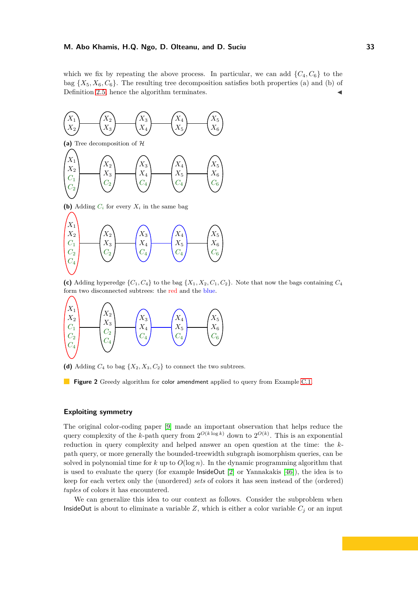which we fix by repeating the above process. In particular, we can add  $\{C_4, C_6\}$  to the bag  ${X_5, X_6, C_6}$ . The resulting tree decomposition satisfies both properties (a) and (b) of Definition [2.5,](#page-5-2) hence the algorithm terminates.

<span id="page-32-0"></span>

**(b)** Adding  $C_i$  for every  $X_i$  in the same bag



(c) Adding hyperedge  $\{C_1, C_4\}$  to the bag  $\{X_1, X_2, C_1, C_2\}$ . Note that now the bags containing  $C_4$ form two disconnected subtrees: the red and the blue.



(d) Adding  $C_4$  to bag  $\{X_2, X_3, C_2\}$  to connect the two subtrees.

**Figure 2** Greedy algorithm for color amendment applied to query from Example [C.1.](#page-29-3)

# **Exploiting symmetry**

The original color-coding paper [9] made an important observation that helps reduce the query complexity of the *k*-path query from  $2^{O(k \log k)}$  down to  $2^{O(k)}$ . This is an exponential reduction in query complexity and helped answer an open question at the time: the *k*path query, or more generally the bounded-treewidth subgraph isomorphism queries, can be solved in polynomial time for  $k$  up to  $O(\log n)$ . In the dynamic programming algorithm that is used to evaluate the query (for example InsideOut [\[2\]](#page-17-0) or Yannakakis [\[46\]](#page-18-0)), the idea is to keep for each vertex only the (unordered) *sets* of colors it has seen instead of the (ordered) *tuples* of colors it has encountered.

We can generalize this idea to our context as follows. Consider the subproblem when InsideOut is about to eliminate a variable  $Z$ , which is either a color variable  $C_j$  or an input